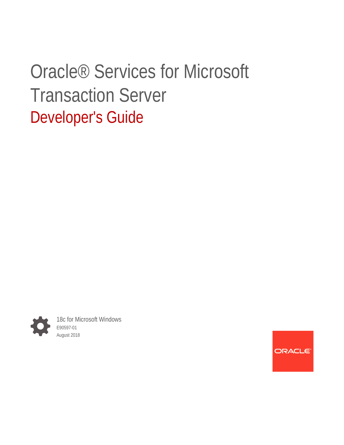# Oracle® Services for Microsoft Transaction Server Developer's Guide



18c for Microsoft Windows E90597-01 August 2018

**ORACLE**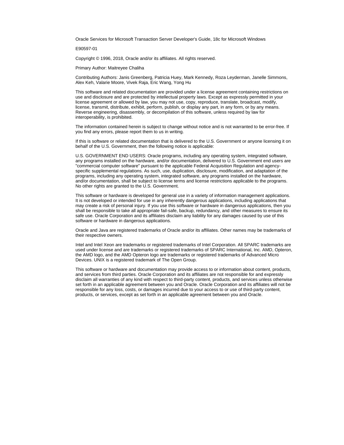Oracle Services for Microsoft Transaction Server Developer's Guide, 18c for Microsoft Windows

E90597-01

Copyright © 1996, 2018, Oracle and/or its affiliates. All rights reserved.

Primary Author: Maitreyee Chaliha

Contributing Authors: Janis Greenberg, Patricia Huey, Mark Kennedy, Roza Leyderman, Janelle Simmons, Alex Keh, Valarie Moore, Vivek Raja, Eric Wang, Yong Hu

This software and related documentation are provided under a license agreement containing restrictions on use and disclosure and are protected by intellectual property laws. Except as expressly permitted in your license agreement or allowed by law, you may not use, copy, reproduce, translate, broadcast, modify, license, transmit, distribute, exhibit, perform, publish, or display any part, in any form, or by any means. Reverse engineering, disassembly, or decompilation of this software, unless required by law for interoperability, is prohibited.

The information contained herein is subject to change without notice and is not warranted to be error-free. If you find any errors, please report them to us in writing.

If this is software or related documentation that is delivered to the U.S. Government or anyone licensing it on behalf of the U.S. Government, then the following notice is applicable:

U.S. GOVERNMENT END USERS: Oracle programs, including any operating system, integrated software, any programs installed on the hardware, and/or documentation, delivered to U.S. Government end users are "commercial computer software" pursuant to the applicable Federal Acquisition Regulation and agencyspecific supplemental regulations. As such, use, duplication, disclosure, modification, and adaptation of the programs, including any operating system, integrated software, any programs installed on the hardware, and/or documentation, shall be subject to license terms and license restrictions applicable to the programs. No other rights are granted to the U.S. Government.

This software or hardware is developed for general use in a variety of information management applications. It is not developed or intended for use in any inherently dangerous applications, including applications that may create a risk of personal injury. If you use this software or hardware in dangerous applications, then you shall be responsible to take all appropriate fail-safe, backup, redundancy, and other measures to ensure its safe use. Oracle Corporation and its affiliates disclaim any liability for any damages caused by use of this software or hardware in dangerous applications.

Oracle and Java are registered trademarks of Oracle and/or its affiliates. Other names may be trademarks of their respective owners.

Intel and Intel Xeon are trademarks or registered trademarks of Intel Corporation. All SPARC trademarks are used under license and are trademarks or registered trademarks of SPARC International, Inc. AMD, Opteron, the AMD logo, and the AMD Opteron logo are trademarks or registered trademarks of Advanced Micro Devices. UNIX is a registered trademark of The Open Group.

This software or hardware and documentation may provide access to or information about content, products, and services from third parties. Oracle Corporation and its affiliates are not responsible for and expressly disclaim all warranties of any kind with respect to third-party content, products, and services unless otherwise set forth in an applicable agreement between you and Oracle. Oracle Corporation and its affiliates will not be responsible for any loss, costs, or damages incurred due to your access to or use of third-party content, products, or services, except as set forth in an applicable agreement between you and Oracle.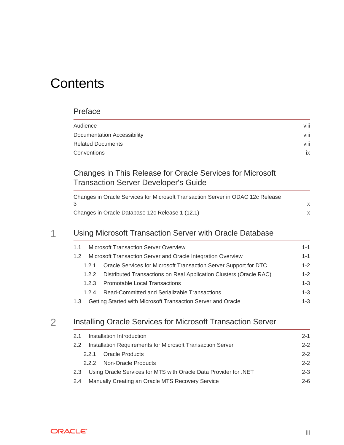# **Contents**

### [Preface](#page-7-0)

| Audience                    | viii |
|-----------------------------|------|
| Documentation Accessibility | viii |
| Related Documents           | viii |
| Conventions                 | ix   |

### [Changes in This Release for Oracle Services for Microsoft](#page-9-0) [Transaction Server Developer's Guide](#page-9-0)

| Changes in Oracle Services for Microsoft Transaction Server in ODAC 12c Release |  |
|---------------------------------------------------------------------------------|--|
|                                                                                 |  |
| Changes in Oracle Database 12c Release 1 (12.1)                                 |  |

### 1 [Using Microsoft Transaction Server with Oracle Database](#page-11-0)

| <b>Microsoft Transaction Server Overview</b><br>1.1                         |         |
|-----------------------------------------------------------------------------|---------|
| Microsoft Transaction Server and Oracle Integration Overview<br>1.2         | $1 - 1$ |
| Oracle Services for Microsoft Transaction Server Support for DTC<br>1.2.1   | $1 - 2$ |
| Distributed Transactions on Real Application Clusters (Oracle RAC)<br>1.2.2 | $1 - 2$ |
| <b>Promotable Local Transactions</b><br>1.2.3                               | $1 - 3$ |
| Read-Committed and Serializable Transactions<br>1.2.4                       | $1 - 3$ |
| Getting Started with Microsoft Transaction Server and Oracle<br>1.3         | $1 - 3$ |

### 2 [Installing Oracle Services for Microsoft Transaction Server](#page-15-0)

| Installation Introduction<br>$2 - 1$<br>2.1                             |         |  |
|-------------------------------------------------------------------------|---------|--|
| Installation Requirements for Microsoft Transaction Server<br>2.2       | $2 - 2$ |  |
| <b>Oracle Products</b><br>221                                           | $2 - 2$ |  |
| Non-Oracle Products<br>2.2.2                                            | $2 - 2$ |  |
| Using Oracle Services for MTS with Oracle Data Provider for .NET<br>2.3 | $2 - 3$ |  |
| Manually Creating an Oracle MTS Recovery Service<br>$2-6$<br>2.4        |         |  |

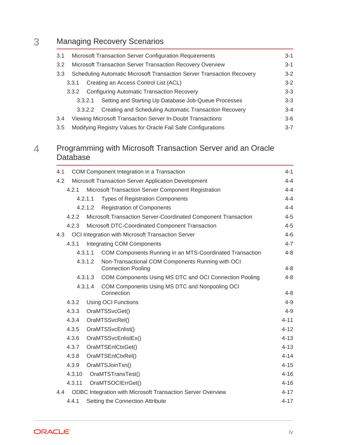## 3 [Managing Recovery Scenarios](#page-23-0)

| 3.1              | Microsoft Transaction Server Configuration Requirements<br>3-1                  |                                                               |         |  |
|------------------|---------------------------------------------------------------------------------|---------------------------------------------------------------|---------|--|
| 3.2              | Microsoft Transaction Server Transaction Recovery Overview<br>$3-1$             |                                                               |         |  |
| 3.3 <sub>2</sub> | Scheduling Automatic Microsoft Transaction Server Transaction Recovery<br>$3-2$ |                                                               |         |  |
|                  | 3.3.1                                                                           | Creating an Access Control List (ACL)                         | $3-2$   |  |
|                  | 3.3.2                                                                           | <b>Configuring Automatic Transaction Recovery</b>             | $3 - 3$ |  |
|                  | 3.3.2.1                                                                         | Setting and Starting Up Database Job-Queue Processes          | $3-3$   |  |
|                  | 3.3.2.2                                                                         | Creating and Scheduling Automatic Transaction Recovery        | $3 - 4$ |  |
| 3.4              |                                                                                 | Viewing Microsoft Transaction Server In-Doubt Transactions    | $3-6$   |  |
| 3.5              |                                                                                 | Modifying Registry Values for Oracle Fail Safe Configurations | $3 - 7$ |  |

### 4 [Programming with Microsoft Transaction Server and an Oracle](#page-30-0) [Database](#page-30-0)

| 4.1 | COM Component Integration in a Transaction<br>$4 - 1$ |         |                                                                                |          |
|-----|-------------------------------------------------------|---------|--------------------------------------------------------------------------------|----------|
| 4.2 |                                                       |         | Microsoft Transaction Server Application Development                           | 4-4      |
|     | 4.2.1                                                 |         | Microsoft Transaction Server Component Registration                            | $4 - 4$  |
|     |                                                       | 4.2.1.1 | <b>Types of Registration Components</b>                                        | $4 - 4$  |
|     |                                                       | 4.2.1.2 | <b>Registration of Components</b>                                              | $4 - 4$  |
|     | 4.2.2                                                 |         | Microsoft Transaction Server-Coordinated Component Transaction                 | $4 - 5$  |
|     | 4.2.3                                                 |         | Microsoft DTC-Coordinated Component Transaction                                | $4 - 5$  |
| 4.3 |                                                       |         | OCI Integration with Microsoft Transaction Server                              | $4 - 6$  |
|     | 4.3.1                                                 |         | Integrating COM Components                                                     | $4 - 7$  |
|     |                                                       | 4.3.1.1 | COM Components Running in an MTS-Coordinated Transaction                       | $4 - 8$  |
|     |                                                       | 4.3.1.2 | Non-Transactional COM Components Running with OCI<br><b>Connection Pooling</b> | $4 - 8$  |
|     |                                                       | 4.3.1.3 | COM Components Using MS DTC and OCI Connection Pooling                         | $4 - 8$  |
|     |                                                       | 4.3.1.4 | COM Components Using MS DTC and Nonpooling OCI<br>Connection                   | $4 - 8$  |
|     | 4.3.2                                                 |         | <b>Using OCI Functions</b>                                                     | $4 - 9$  |
|     | 4.3.3                                                 |         | OraMTSSvcGet()                                                                 | $4 - 9$  |
|     | 4.3.4                                                 |         | OraMTSSvcRel()                                                                 | $4 - 11$ |
|     | 4.3.5                                                 |         | OraMTSSvcEnlist()                                                              | $4 - 12$ |
|     | 4.3.6                                                 |         | OraMTSSvcEnlistEx()                                                            | $4 - 13$ |
|     | 4.3.7                                                 |         | OraMTSEnlCtxGet()                                                              | $4 - 13$ |
|     | 4.3.8                                                 |         | OraMTSEnlCtxRel()                                                              | $4 - 14$ |
|     | 4.3.9                                                 |         | OraMTSJoinTxn()                                                                | $4 - 15$ |
|     | 4.3.10                                                |         | OraMTSTransTest()                                                              | $4 - 16$ |
|     | 4.3.11                                                |         | OraMTSOCIErrGet()                                                              | $4 - 16$ |
| 4.4 |                                                       |         | <b>ODBC Integration with Microsoft Transaction Server Overview</b>             | $4 - 17$ |
|     | 4.4.1                                                 |         | Setting the Connection Attribute                                               | $4 - 17$ |

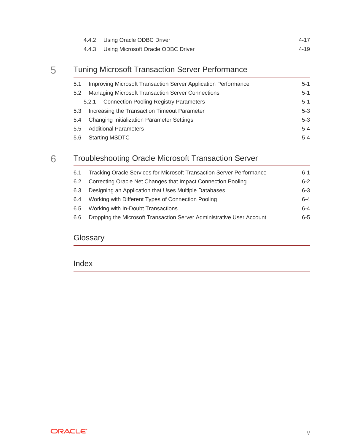| 4.4.2 Using Oracle ODBC Driver           | $4 - 17$ |
|------------------------------------------|----------|
| 4.4.3 Using Microsoft Oracle ODBC Driver | 4-19     |

## 5 [Tuning Microsoft Transaction Server Performance](#page-49-0)

| 5.1           | Improving Microsoft Transaction Server Application Performance<br>$5-1$ |         |
|---------------|-------------------------------------------------------------------------|---------|
| 5.2           | <b>Managing Microsoft Transaction Server Connections</b>                |         |
|               | <b>Connection Pooling Registry Parameters</b><br>5.2.1                  | $5-1$   |
| 5.3           | Increasing the Transaction Timeout Parameter                            | $5-3$   |
| 5.4           | $5-3$<br>Changing Initialization Parameter Settings                     |         |
| $5.5^{\circ}$ | <b>Additional Parameters</b>                                            | $5 - 4$ |
| 5.6           | <b>Starting MSDTC</b><br>$5 - 4$                                        |         |

## 6 [Troubleshooting Oracle Microsoft Transaction Server](#page-54-0)

| 6.1 | Tracking Oracle Services for Microsoft Transaction Server Performance | $6-1$   |
|-----|-----------------------------------------------------------------------|---------|
| 6.2 | Correcting Oracle Net Changes that Impact Connection Pooling          | $6-2$   |
| 6.3 | Designing an Application that Uses Multiple Databases                 | $6 - 3$ |
| 6.4 | Working with Different Types of Connection Pooling                    | $6 - 4$ |
| 6.5 | Working with In-Doubt Transactions                                    | $6 - 4$ |
| 6.6 | Dropping the Microsoft Transaction Server Administrative User Account | $6 - 5$ |
|     |                                                                       |         |

### **[Glossary](#page-59-0)**

[Index](#page-62-0)

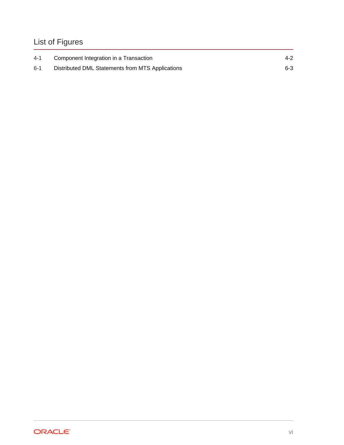## List of Figures

| $4 - 1$ | Component Integration in a Transaction           | $4 - 2$ |
|---------|--------------------------------------------------|---------|
| $6 - 1$ | Distributed DML Statements from MTS Applications | $6 - 3$ |

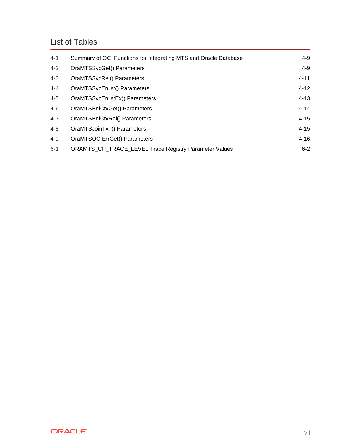### List of Tables

| $4 - 1$ | Summary of OCI Functions for Integrating MTS and Oracle Database | 4-9      |
|---------|------------------------------------------------------------------|----------|
| $4 - 2$ | OraMTSSvcGet() Parameters                                        | $4 - 9$  |
| $4 - 3$ | OraMTSSvcRel() Parameters                                        | $4 - 11$ |
| $4 - 4$ | OraMTSSvcEnlist() Parameters                                     | $4 - 12$ |
| $4 - 5$ | OraMTSSvcEnlistEx() Parameters                                   | $4 - 13$ |
| $4 - 6$ | OraMTSEnICtxGet() Parameters                                     | $4 - 14$ |
| $4 - 7$ | OraMTSEnlCtxRel() Parameters                                     | $4 - 15$ |
| $4 - 8$ | OraMTSJoinTxn() Parameters                                       | $4 - 15$ |
| $4 - 9$ | OraMTSOCIErrGet() Parameters                                     | $4 - 16$ |
| $6 - 1$ | <b>ORAMTS CP TRACE LEVEL Trace Registry Parameter Values</b>     | $6-2$    |

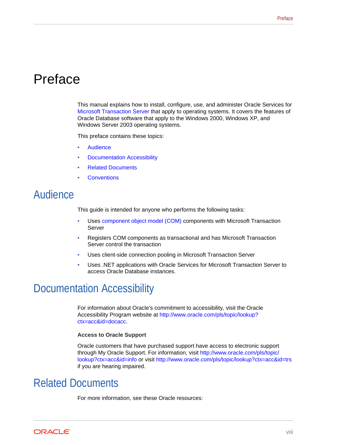# <span id="page-7-0"></span>Preface

This manual explains how to install, configure, use, and administer Oracle Services for [Microsoft Transaction Server](#page-60-0) that apply to operating systems. It covers the features of Oracle Database software that apply to the Windows 2000, Windows XP, and Windows Server 2003 operating systems.

This preface contains these topics:

- **Audience**
- Documentation Accessibility
- Related Documents
- **[Conventions](#page-8-0)**

## Audience

This guide is intended for anyone who performs the following tasks:

- Uses [component object model \(COM\)](#page-59-0) components with Microsoft Transaction Server
- Registers COM components as transactional and has Microsoft Transaction Server control the transaction
- Uses client-side connection pooling in Microsoft Transaction Server
- Uses .NET applications with Oracle Services for Microsoft Transaction Server to access Oracle Database instances.

## Documentation Accessibility

For information about Oracle's commitment to accessibility, visit the Oracle Accessibility Program website at [http://www.oracle.com/pls/topic/lookup?](http://www.oracle.com/pls/topic/lookup?ctx=acc&id=docacc) [ctx=acc&id=docacc](http://www.oracle.com/pls/topic/lookup?ctx=acc&id=docacc).

#### **Access to Oracle Support**

Oracle customers that have purchased support have access to electronic support through My Oracle Support. For information, visit [http://www.oracle.com/pls/topic/](http://www.oracle.com/pls/topic/lookup?ctx=acc&id=info) [lookup?ctx=acc&id=info](http://www.oracle.com/pls/topic/lookup?ctx=acc&id=info) or visit<http://www.oracle.com/pls/topic/lookup?ctx=acc&id=trs> if you are hearing impaired.

# Related Documents

For more information, see these Oracle resources:

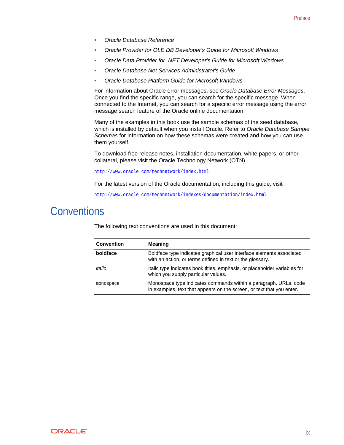- <span id="page-8-0"></span>• *Oracle Database Reference*
- *Oracle Provider for OLE DB Developer's Guide for Microsoft Windows*
- *Oracle Data Provider for .NET Developer's Guide for Microsoft Windows*
- *Oracle Database Net Services Administrator's Guide*
- *Oracle Database Platform Guide for Microsoft Windows*

For information about Oracle error messages, see *Oracle Database Error Messages*. Once you find the specific range, you can search for the specific message. When connected to the Internet, you can search for a specific error message using the error message search feature of the Oracle online documentation.

Many of the examples in this book use the sample schemas of the seed database, which is installed by default when you install Oracle. Refer to *Oracle Database Sample Schemas* for information on how these schemas were created and how you can use them yourself.

To download free release notes, installation documentation, white papers, or other collateral, please visit the Oracle Technology Network (OTN)

http://www.oracle.com/technetwork/index.html

For the latest version of the Oracle documentation, including this guide, visit

http://www.oracle.com/technetwork/indexes/documentation/index.html

## **Conventions**

The following text conventions are used in this document:

| <b>Convention</b> | Meaning                                                                                                                                   |
|-------------------|-------------------------------------------------------------------------------------------------------------------------------------------|
| boldface          | Boldface type indicates graphical user interface elements associated<br>with an action, or terms defined in text or the glossary.         |
| italic            | Italic type indicates book titles, emphasis, or placeholder variables for<br>which you supply particular values.                          |
| monospace         | Monospace type indicates commands within a paragraph, URLs, code<br>in examples, text that appears on the screen, or text that you enter. |

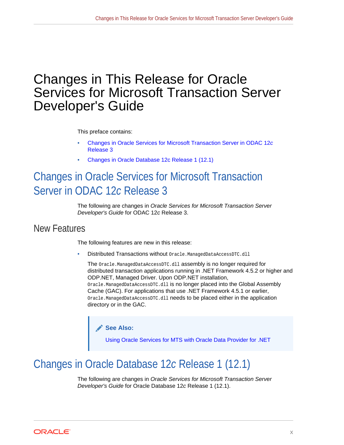# <span id="page-9-0"></span>Changes in This Release for Oracle Services for Microsoft Transaction Server Developer's Guide

This preface contains:

- Changes in Oracle Services for Microsoft Transaction Server in ODAC 12*c* Release 3
- Changes in Oracle Database 12c Release 1 (12.1)

# Changes in Oracle Services for Microsoft Transaction Server in ODAC 12*c* Release 3

The following are changes in *Oracle Services for Microsoft Transaction Server Developer's Guide* for ODAC 12*c* Release 3.

### New Features

The following features are new in this release:

• Distributed Transactions without Oracle.ManagedDataAccessDTC.dll

The Oracle.ManagedDataAccessDTC.dll assembly is no longer required for distributed transaction applications running in .NET Framework 4.5.2 or higher and ODP.NET, Managed Driver. Upon ODP.NET installation, Oracle.ManagedDataAccessDTC.dll is no longer placed into the Global Assembly Cache (GAC). For applications that use .NET Framework 4.5.1 or earlier, Oracle.ManagedDataAccessDTC.dll needs to be placed either in the application directory or in the GAC.

**See Also:**

[Using Oracle Services for MTS with Oracle Data Provider for .NET](#page-17-0)

# Changes in Oracle Database 12*c* Release 1 (12.1)

The following are changes in *Oracle Services for Microsoft Transaction Server Developer's Guide* for Oracle Database 12*c* Release 1 (12.1).

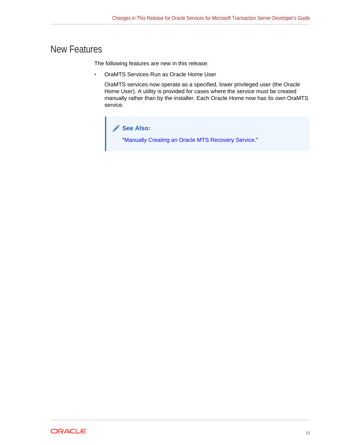### New Features

The following features are new in this release:

• OraMTS Services Run as Oracle Home User

OraMTS services now operate as a specified, lower privileged user (the Oracle Home User). A utility is provided for cases where the service must be created manually rather than by the installer. Each Oracle Home now has its own OraMTS service.



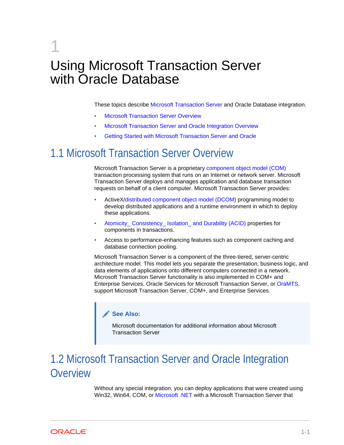# <span id="page-11-0"></span>1 Using Microsoft Transaction Server with Oracle Database

These topics describe [Microsoft Transaction Server](#page-60-0) and Oracle Database integration.

- **Microsoft Transaction Server Overview**
- Microsoft Transaction Server and Oracle Integration Overview
- [Getting Started with Microsoft Transaction Server and Oracle](#page-13-0)

## 1.1 Microsoft Transaction Server Overview

Microsoft Transaction Server is a proprietary [component object model \(COM\)](#page-59-0) transaction processing system that runs on an Internet or network server. Microsoft Transaction Server deploys and manages application and database transaction requests on behalf of a client computer. Microsoft Transaction Server provides:

- ActiveX/[distributed component object model \(DCOM\)](#page-59-0) programming model to develop distributed applications and a runtime environment in which to deploy these applications.
- [Atomicity\\_ Consistency\\_ Isolation\\_ and Durability \(ACID\)](#page-59-0) properties for components in transactions.
- Access to performance-enhancing features such as component caching and database connection pooling.

Microsoft Transaction Server is a component of the three-tiered, server-centric architecture model. This model lets you separate the presentation, business logic, and data elements of applications onto different computers connected in a network. Microsoft Transaction Server functionality is also implemented in COM+ and Enterprise Services. Oracle Services for Microsoft Transaction Server, or [OraMTS,](#page-60-0) support Microsoft Transaction Server, COM+, and Enterprise Services.

### **See Also:**

Microsoft documentation for additional information about Microsoft Transaction Server

# 1.2 Microsoft Transaction Server and Oracle Integration **Overview**

Without any special integration, you can deploy applications that were created using Win32, Win64, COM, or [Microsoft .NET](#page-59-0) with a Microsoft Transaction Server that

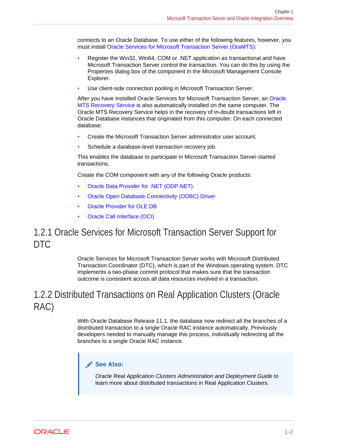<span id="page-12-0"></span>connects to an Oracle Database. To use either of the following features, however, you must install [Oracle Services for Microsoft Transaction Server \(OraMTS\):](#page-61-0)

- Register the Win32, Win64, COM or .NET application as transactional and have Microsoft Transaction Server control the transaction. You can do this by using the Properties dialog box of the component in the Microsoft Management Console Explorer.
- Use client-side connection pooling in Microsoft Transaction Server.

After you have installed Oracle Services for Microsoft Transaction Server, an [Oracle](#page-60-0) [MTS Recovery Service](#page-60-0) is also automatically installed on the same computer. The Oracle MTS Recovery Service helps in the recovery of in-doubt transactions left in Oracle Database instances that originated from this computer. On each connected database:

- Create the Microsoft Transaction Server administrator user account.
- Schedule a database-level transaction recovery job.

This enables the database to participate in Microsoft Transaction Server-started transactions.

Create the COM component with any of the following Oracle products:

- [Oracle Data Provider for .NET \(ODP.NET\)](#page-60-0).
- [Oracle Open Database Connectivity \(ODBC\) Driver](#page-60-0)
- [Oracle Provider for OLE DB](#page-61-0)
- [Oracle Call Interface \(OCI\)](#page-60-0)

### 1.2.1 Oracle Services for Microsoft Transaction Server Support for DTC

Oracle Services for Microsoft Transaction Server works with Microsoft Distributed Transaction Coordinator (DTC), which is part of the Windows operating system. DTC implements a two-phase commit protocol that makes sure that the transaction outcome is consistent across all data resources involved in a transaction.

## 1.2.2 Distributed Transactions on Real Application Clusters (Oracle RAC)

With Oracle Database Release 11.1, the database now redirect all the branches of a distributed transaction to a single Oracle RAC instance automatically. Previously developers needed to manually manage this process, individually redirecting all the branches to a single Oracle RAC instance.

### **See Also:**

*Oracle Real Application Clusters Administration and Deployment Guide* to learn more about distributed transactions in Real Application Clusters.

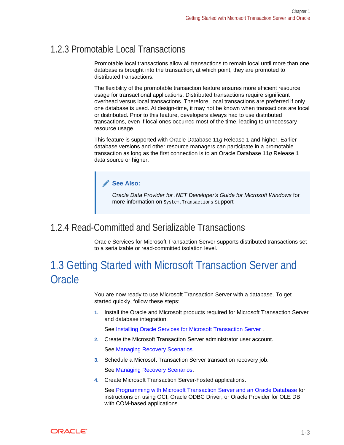## <span id="page-13-0"></span>1.2.3 Promotable Local Transactions

Promotable local transactions allow all transactions to remain local until more than one database is brought into the transaction, at which point, they are promoted to distributed transactions.

The flexibility of the promotable transaction feature ensures more efficient resource usage for transactional applications. Distributed transactions require significant overhead versus local transactions. Therefore, local transactions are preferred if only one database is used. At design-time, it may not be known when transactions are local or distributed. Prior to this feature, developers always had to use distributed transactions, even if local ones occurred most of the time, leading to unnecessary resource usage.

This feature is supported with Oracle Database 11*g* Release 1 and higher. Earlier database versions and other resource managers can participate in a promotable transaction as long as the first connection is to an Oracle Database 11*g* Release 1 data source or higher.

### **See Also:**

*Oracle Data Provider for .NET Developer's Guide for Microsoft Windows* for more information on System.Transactions support

1.2.4 Read-Committed and Serializable Transactions

Oracle Services for Microsoft Transaction Server supports distributed transactions set to a serializable or read-committed isolation level.

# 1.3 Getting Started with Microsoft Transaction Server and **Oracle**

You are now ready to use Microsoft Transaction Server with a database. To get started quickly, follow these steps:

**1.** Install the Oracle and Microsoft products required for Microsoft Transaction Server and database integration.

See [Installing Oracle Services for Microsoft Transaction Server](#page-15-0) .

**2.** Create the Microsoft Transaction Server administrator user account.

See [Managing Recovery Scenarios.](#page-23-0)

**3.** Schedule a Microsoft Transaction Server transaction recovery job.

See [Managing Recovery Scenarios.](#page-23-0)

**4.** Create Microsoft Transaction Server-hosted applications.

See [Programming with Microsoft Transaction Server and an Oracle Database](#page-30-0) for instructions on using OCI, Oracle ODBC Driver, or Oracle Provider for OLE DB with COM-based applications.

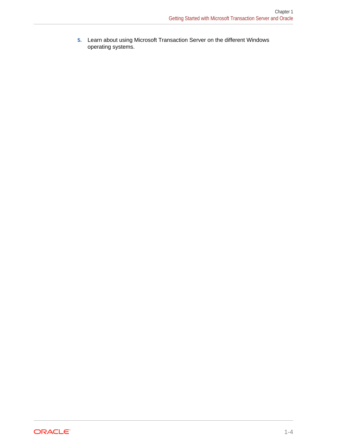**5.** Learn about using Microsoft Transaction Server on the different Windows operating systems.

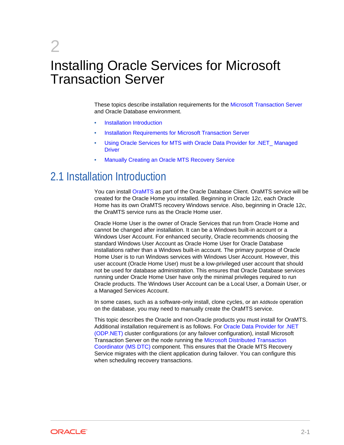# <span id="page-15-0"></span>2 Installing Oracle Services for Microsoft Transaction Server

These topics describe installation requirements for the [Microsoft Transaction Server](#page-60-0) and Oracle Database environment.

- **Installation Introduction**
- [Installation Requirements for Microsoft Transaction Server](#page-16-0)
- [Using Oracle Services for MTS with Oracle Data Provider for .NET\\_ Managed](#page-17-0) **[Driver](#page-17-0)**
- [Manually Creating an Oracle MTS Recovery Service](#page-20-0)

## 2.1 Installation Introduction

You can install [OraMTS](#page-60-0) as part of the Oracle Database Client. OraMTS service will be created for the Oracle Home you installed. Beginning in Oracle 12*c*, each Oracle Home has its own OraMTS recovery Windows service. Also, beginning in Oracle 12*c*, the OraMTS service runs as the Oracle Home user.

Oracle Home User is the owner of Oracle Services that run from Oracle Home and cannot be changed after installation. It can be a Windows built-in account or a Windows User Account. For enhanced security, Oracle recommends choosing the standard Windows User Account as Oracle Home User for Oracle Database installations rather than a Windows built-in account. The primary purpose of Oracle Home User is to run Windows services with Windows User Account. However, this user account (Oracle Home User) must be a low-privileged user account that should not be used for database administration. This ensures that Oracle Database services running under Oracle Home User have only the minimal privileges required to run Oracle products. The Windows User Account can be a Local User, a Domain User, or a Managed Services Account.

In some cases, such as a software-only install, clone cycles, or an AddNode operation on the database, you may need to manually create the OraMTS service.

This topic describes the Oracle and non-Oracle products you must install for OraMTS. Additional installation requirement is as follows. For [Oracle Data Provider for .NET](#page-60-0) [\(ODP.NET\)](#page-60-0) cluster configurations (or any failover configuration), install Microsoft Transaction Server on the node running the [Microsoft Distributed Transaction](#page-59-0) [Coordinator \(MS DTC\)](#page-59-0) component. This ensures that the Oracle MTS Recovery Service migrates with the client application during failover. You can configure this when scheduling recovery transactions.

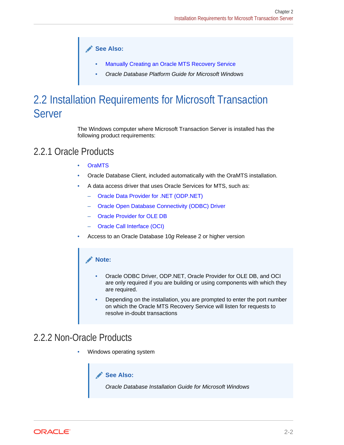**See Also:**

- [Manually Creating an Oracle MTS Recovery Service](#page-20-0)
- *Oracle Database Platform Guide for Microsoft Windows*

# <span id="page-16-0"></span>2.2 Installation Requirements for Microsoft Transaction Server

The Windows computer where Microsoft Transaction Server is installed has the following product requirements:

## 2.2.1 Oracle Products

- [OraMTS](#page-60-0)
- Oracle Database Client, included automatically with the OraMTS installation.
- A data access driver that uses Oracle Services for MTS, such as:
	- [Oracle Data Provider for .NET \(ODP.NET\)](#page-60-0)
	- [Oracle Open Database Connectivity \(ODBC\) Driver](#page-60-0)
	- [Oracle Provider for OLE DB](#page-61-0)
	- [Oracle Call Interface \(OCI\)](#page-60-0)
- Access to an Oracle Database 10*g* Release 2 or higher version

### **Note:**

- Oracle ODBC Driver, ODP.NET, Oracle Provider for OLE DB, and OCI are only required if you are building or using components with which they are required.
- Depending on the installation, you are prompted to enter the port number on which the Oracle MTS Recovery Service will listen for requests to resolve in-doubt transactions

### 2.2.2 Non-Oracle Products

• Windows operating system



*Oracle Database Installation Guide for Microsoft Windows*

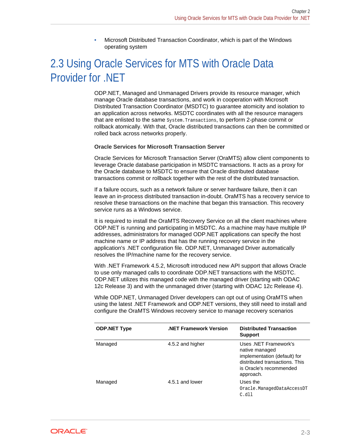• Microsoft Distributed Transaction Coordinator, which is part of the Windows operating system

# <span id="page-17-0"></span>2.3 Using Oracle Services for MTS with Oracle Data Provider for .NET

ODP.NET, Managed and Unmanaged Drivers provide its resource manager, which manage Oracle database transactions, and work in cooperation with Microsoft Distributed Transaction Coordinator (MSDTC) to guarantee atomicity and isolation to an application across networks. MSDTC coordinates with all the resource managers that are enlisted to the same System.Transactions, to perform 2-phase commit or rollback atomically. With that, Oracle distributed transactions can then be committed or rolled back across networks properly.

#### **Oracle Services for Microsoft Transaction Server**

Oracle Services for Microsoft Transaction Server (OraMTS) allow client components to leverage Oracle database participation in MSDTC transactions. It acts as a proxy for the Oracle database to MSDTC to ensure that Oracle distributed database transactions commit or rollback together with the rest of the distributed transaction.

If a failure occurs, such as a network failure or server hardware failure, then it can leave an in-process distributed transaction in-doubt. OraMTS has a recovery service to resolve these transactions on the machine that began this transaction. This recovery service runs as a Windows service.

It is required to install the OraMTS Recovery Service on all the client machines where ODP.NET is running and participating in MSDTC. As a machine may have multiple IP addresses, administrators for managed ODP.NET applications can specify the host machine name or IP address that has the running recovery service in the application's .NET configuration file. ODP.NET, Unmanaged Driver automatically resolves the IP/machine name for the recovery service.

With .NET Framework 4.5.2, Microsoft introduced new API support that allows Oracle to use only managed calls to coordinate ODP.NET transactions with the MSDTC. ODP.NET utilizes this managed code with the managed driver (starting with ODAC 12c Release 3) and with the unmanaged driver (starting with ODAC 12c Release 4).

While ODP.NET, Unmanaged Driver developers can opt out of using OraMTS when using the latest .NET Framework and ODP.NET versions, they still need to install and configure the OraMTS Windows recovery service to manage recovery scenarios

| <b>ODP.NET Type</b> | <b>NET Framework Version.</b> | <b>Distributed Transaction</b><br><b>Support</b>                                                                                                  |
|---------------------|-------------------------------|---------------------------------------------------------------------------------------------------------------------------------------------------|
| Managed             | 4.5.2 and higher              | Uses .NET Framework's<br>native managed<br>implementation (default) for<br>distributed transactions. This<br>is Oracle's recommended<br>approach. |
| Managed             | 4.5.1 and lower               | Uses the<br>Oracle.ManagedDataAccessDT<br>C.d11                                                                                                   |

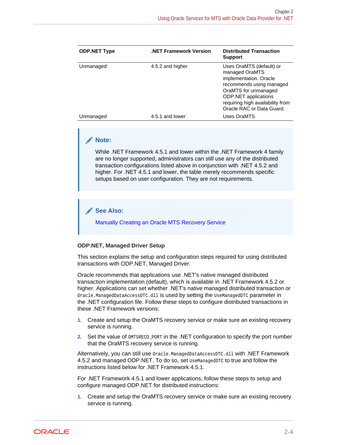| <b>ODP.NET Type</b> | <b>NET Framework Version.</b> | <b>Distributed Transaction</b><br><b>Support</b>                                                                                                                                                                  |
|---------------------|-------------------------------|-------------------------------------------------------------------------------------------------------------------------------------------------------------------------------------------------------------------|
| Unmanaged           | 4.5.2 and higher              | Uses OraMTS (default) or<br>managed OraMTS<br>implementation. Oracle<br>recommends using managed<br>OraMTS for unmanaged<br>ODP.NET applications<br>requiring high availability from<br>Oracle RAC or Data Guard. |
| Unmanaged           | 4.5.1 and lower               | Uses OraMTS                                                                                                                                                                                                       |

### **Note:**

While .NET Framework 4.5.1 and lower within the .NET Framework 4 family are no longer supported, administrators can still use any of the distributed transaction configurations listed above in conjunction with .NET 4.5.2 and higher. For .NET 4.5.1 and lower, the table merely recommends specific setups based on user configuration. They are not requirements.

### **See Also:**

[Manually Creating an Oracle MTS Recovery Service](#page-20-0)

### **ODP.NET, Managed Driver Setup**

This section explains the setup and configuration steps required for using distributed transactions with ODP.NET, Managed Driver.

Oracle recommends that applications use .NET's native managed distributed transaction implementation (default), which is available in .NET Framework 4.5.2 or higher. Applications can set whether .NET's native managed distributed transaction or Oracle.ManagedDataAccessDTC.dll is used by setting the UseManagedDTC parameter in the .NET configuration file. Follow these steps to configure distributed transactions in these .NET Framework versions:

- **1.** Create and setup the OraMTS recovery service or make sure an existing recovery service is running.
- **2.** Set the value of OMTSRECO\_PORT in the .NET configuration to specify the port number that the OraMTS recovery service is running.

Alternatively, you can still use Oracle.ManagedDataAccessDTC.dll with .NET Framework 4.5.2 and managed ODP.NET. To do so, set UseManagedDTC to true and follow the instructions listed below for .NET Framework 4.5.1.

For .NET Framework 4.5.1 and lower applications, follow these steps to setup and configure managed ODP.NET for distributed instructions:

**1.** Create and setup the OraMTS recovery service or make sure an existing recovery service is running.

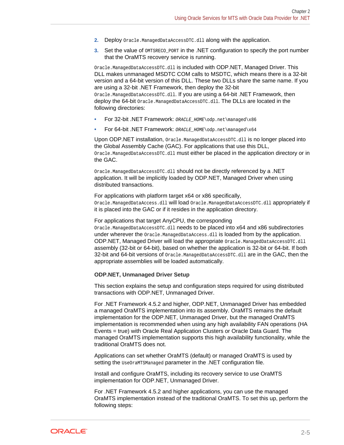- 2. Deploy Oracle.ManagedDataAccessDTC.dll along with the application.
- **3.** Set the value of **OMTSRECO\_PORT** in the .NET configuration to specify the port number that the OraMTS recovery service is running.

Oracle.ManagedDataAccessDTC.dll is included with ODP.NET, Managed Driver. This DLL makes unmanaged MSDTC COM calls to MSDTC, which means there is a 32-bit version and a 64-bit version of this DLL. These two DLLs share the same name. If you are using a 32-bit .NET Framework, then deploy the 32-bit Oracle.ManagedDataAccessDTC.dll. If you are using a 64-bit .NET Framework, then deploy the 64-bit Oracle.ManagedDataAccessDTC.dll. The DLLs are located in the following directories:

- For 32-bit .NET Framework: ORACLE\_HOME\odp.net\managed\x86
- For 64-bit .NET Framework: ORACLE\_HOME\odp.net\managed\x64

Upon ODP.NET installation, Oracle.ManagedDataAccessDTC.dll is no longer placed into the Global Assembly Cache (GAC). For applications that use this DLL, Oracle.ManagedDataAccessDTC.dll must either be placed in the application directory or in the GAC.

Oracle.ManagedDataAccessDTC.dll should not be directly referenced by a .NET application. It will be implicitly loaded by ODP.NET, Managed Driver when using distributed transactions.

For applications with platform target x64 or x86 specifically, Oracle.ManagedDataAccess.dll will load Oracle.ManagedDataAccessDTC.dll appropriately if it is placed into the GAC or if it resides in the application directory.

For applications that target AnyCPU, the corresponding

Oracle.ManagedDataAccessDTC.dll needs to be placed into x64 and x86 subdirectories under wherever the Oracle.ManagedDataAccess.dll is loaded from by the application. ODP.NET, Managed Driver will load the appropriate Oracle.ManagedDataAccessDTC.dll assembly (32-bit or 64-bit), based on whether the application is 32-bit or 64-bit. If both 32-bit and 64-bit versions of  $\alpha$  oracle. ManagedDataAccessDTC.dll are in the GAC, then the appropriate assemblies will be loaded automatically.

### **ODP.NET, Unmanaged Driver Setup**

This section explains the setup and configuration steps required for using distributed transactions with ODP.NET, Unmanaged Driver.

For .NET Framework 4.5.2 and higher, ODP.NET, Unmanaged Driver has embedded a managed OraMTS implementation into its assembly. OraMTS remains the default implementation for the ODP.NET, Unmanaged Driver, but the managed OraMTS implementation is recommended when using any high availability FAN operations (HA Events = true) with Oracle Real Application Clusters or Oracle Data Guard. The managed OraMTS implementation supports this high availability functionality, while the traditional OraMTS does not.

Applications can set whether OraMTS (default) or managed OraMTS is used by setting the UseOraMTSManaged parameter in the .NET configuration file.

Install and configure OraMTS, including its recovery service to use OraMTS implementation for ODP.NET, Unmanaged Driver.

For .NET Framework 4.5.2 and higher applications, you can use the managed OraMTS implementation instead of the traditional OraMTS. To set this up, perform the following steps:

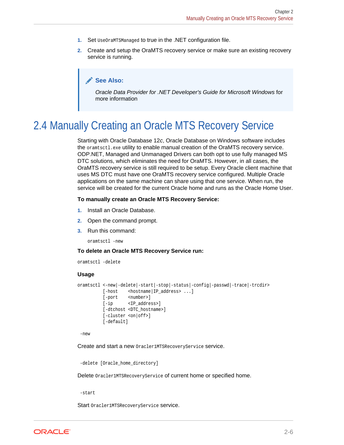- <span id="page-20-0"></span>**1.** Set UseOraMTSManaged to true in the .NET configuration file.
- **2.** Create and setup the OraMTS recovery service or make sure an existing recovery service is running.

### **See Also:**

*Oracle Data Provider for .NET Developer's Guide for Microsoft Windows* for more information

# 2.4 Manually Creating an Oracle MTS Recovery Service

Starting with Oracle Database 12*c*, Oracle Database on Windows software includes the oramtsctl.exe utility to enable manual creation of the OraMTS recovery service. ODP.NET, Managed and Unmanaged Drivers can both opt to use fully managed MS DTC solutions, which eliminates the need for OraMTS. However, in all cases, the OraMTS recovery service is still required to be setup. Every Oracle client machine that uses MS DTC must have one OraMTS recovery service configured. Multiple Oracle applications on the same machine can share using that one service. When run, the service will be created for the current Oracle home and runs as the Oracle Home User.

#### **To manually create an Oracle MTS Recovery Service:**

- **1.** Install an Oracle Database.
- **2.** Open the command prompt.
- **3.** Run this command:

oramtsctl -new

#### **To delete an Oracle MTS Recovery Service run:**

```
oramtsctl -delete
```
#### **Usage**

```
oramtsctl <-new|-delete|-start|-stop|-status|-config|-passwd|-trace|-trcdir>
         [-host <hostname|IP_address> ...]
         [-port <number>]
          [-ip <IP_address>]
          [-dtchost <DTC_hostname>]
          [-cluster <on|off>]
          [-default]
```
-new

Create and start a new Oracler1MTSRecoveryService service.

```
 -delete [Oracle_home_directory]
```
Delete Oracler1MTSRecoveryService of current home or specified home.

-start

Start Oracler1MTSRecoveryService service.

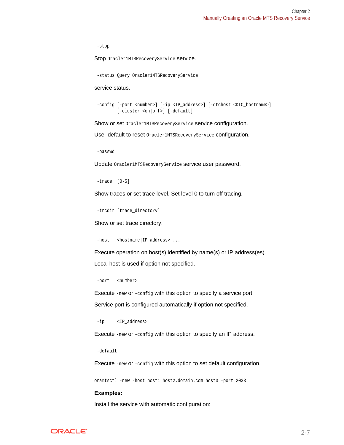-stop

Stop Oracler1MTSRecoveryService service.

-status Query Oracler1MTSRecoveryService

service status.

```
 -config [-port <number>] [-ip <IP_address>] [-dtchost <DTC_hostname>]
        [-cluster <on|off>] [-default]
```
Show or set Oracler1MTSRecoveryService service configuration.

Use -default to reset oracler1MTSRecoveryService configuration.

-passwd

Update Oracler1MTSRecoveryService service user password.

```
 -trace [0-5]
```
Show traces or set trace level. Set level 0 to turn off tracing.

```
 -trcdir [trace_directory]
```
Show or set trace directory.

-host <hostname|IP\_address> ...

Execute operation on host(s) identified by name(s) or IP address(es). Local host is used if option not specified.

-port <number>

Execute -new or -config with this option to specify a service port. Service port is configured automatically if option not specified.

-ip <IP\_address>

Execute -new or -config with this option to specify an IP address.

-default

Execute -new or -config with this option to set default configuration.

oramtsctl -new -host host1 host2.domain.com host3 -port 2033

#### **Examples:**

Install the service with automatic configuration:

**ORACLE®**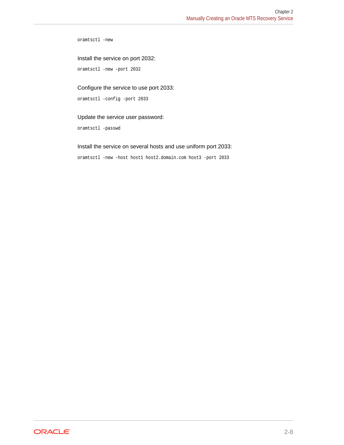oramtsctl -new

Install the service on port 2032:

oramtsctl -new -port 2032

### Configure the service to use port 2033:

oramtsctl -config -port 2033

### Update the service user password:

oramtsctl -passwd

### Install the service on several hosts and use uniform port 2033:

oramtsctl -new -host host1 host2.domain.com host3 -port 2033

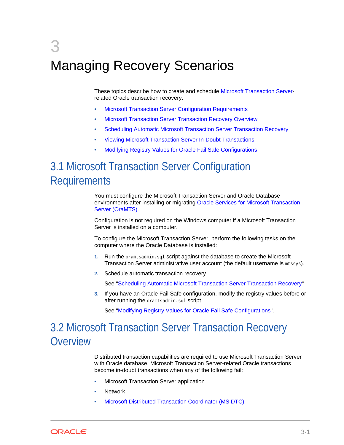# <span id="page-23-0"></span>3 Managing Recovery Scenarios

These topics describe how to create and schedule [Microsoft Transaction Server](#page-60-0)related Oracle transaction recovery.

- Microsoft Transaction Server Configuration Requirements
- Microsoft Transaction Server Transaction Recovery Overview
- [Scheduling Automatic Microsoft Transaction Server Transaction Recovery](#page-24-0)
- [Viewing Microsoft Transaction Server In-Doubt Transactions](#page-28-0)
- [Modifying Registry Values for Oracle Fail Safe Configurations](#page-29-0)

# 3.1 Microsoft Transaction Server Configuration **Requirements**

You must configure the Microsoft Transaction Server and Oracle Database environments after installing or migrating [Oracle Services for Microsoft Transaction](#page-61-0) [Server \(OraMTS\).](#page-61-0)

Configuration is not required on the Windows computer if a Microsoft Transaction Server is installed on a computer.

To configure the Microsoft Transaction Server, perform the following tasks on the computer where the Oracle Database is installed:

- **1.** Run the oramtsadmin.sql script against the database to create the Microsoft Transaction Server administrative user account (the default username is mtssys).
- **2.** Schedule automatic transaction recovery.

See ["Scheduling Automatic Microsoft Transaction Server Transaction Recovery](#page-24-0)"

**3.** If you have an Oracle Fail Safe configuration, modify the registry values before or after running the oramtsadmin.sql script.

See ["Modifying Registry Values for Oracle Fail Safe Configurations"](#page-29-0).

# 3.2 Microsoft Transaction Server Transaction Recovery **Overview**

Distributed transaction capabilities are required to use Microsoft Transaction Server with Oracle database. Microsoft Transaction Server-related Oracle transactions become in-doubt transactions when any of the following fail:

- Microsoft Transaction Server application
- **Network**
- [Microsoft Distributed Transaction Coordinator \(MS DTC\)](#page-59-0)

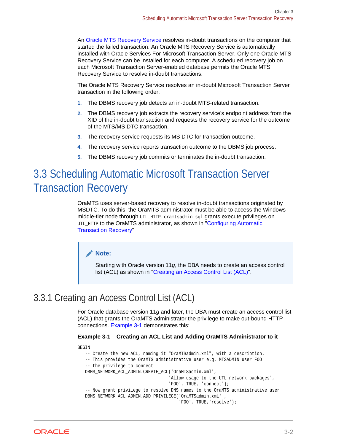<span id="page-24-0"></span>An [Oracle MTS Recovery Service](#page-60-0) resolves in-doubt transactions on the computer that started the failed transaction. An Oracle MTS Recovery Service is automatically installed with Oracle Services For Microsoft Transaction Server. Only one Oracle MTS Recovery Service can be installed for each computer. A scheduled recovery job on each Microsoft Transaction Server-enabled database permits the Oracle MTS Recovery Service to resolve in-doubt transactions.

The Oracle MTS Recovery Service resolves an in-doubt Microsoft Transaction Server transaction in the following order:

- **1.** The DBMS recovery job detects an in-doubt MTS-related transaction.
- **2.** The DBMS recovery job extracts the recovery service's endpoint address from the XID of the in-doubt transaction and requests the recovery service for the outcome of the MTS/MS DTC transaction.
- **3.** The recovery service requests its MS DTC for transaction outcome.
- **4.** The recovery service reports transaction outcome to the DBMS job process.
- **5.** The DBMS recovery job commits or terminates the in-doubt transaction.

# 3.3 Scheduling Automatic Microsoft Transaction Server Transaction Recovery

OraMTS uses server-based recovery to resolve in-doubt transactions originated by MSDTC. To do this, the OraMTS administrator must be able to access the Windows middle-tier node through UTL\_HTTP. oramtsadmin.sql grants execute privileges on UTL HTTP to the OraMTS administrator, as shown in "[Configuring Automatic](#page-25-0) [Transaction Recovery](#page-25-0)"

### **Note:**

Starting with Oracle version 11*g*, the DBA needs to create an access control list (ACL) as shown in "Creating an Access Control List (ACL)".

### 3.3.1 Creating an Access Control List (ACL)

For Oracle database version 11*g* and later, the DBA must create an access control list (ACL) that grants the OraMTS administrator the privilege to make out-bound HTTP connections. Example 3-1 demonstrates this:

### **Example 3-1 Creating an ACL List and Adding OraMTS Administrator to it**

BEGIN

```
 -- Create the new ACL, naming it "OraMTSadmin.xml", with a description.
 -- This provides the OraMTS administrative user e.g. MTSADMIN user FOO
 -- the privilege to connect
 DBMS_NETWORK_ACL_ADMIN.CREATE_ACL('OraMTSadmin.xml',
                                   'Allow usage to the UTL network packages',
                                   'FOO', TRUE, 'connect');
 -- Now grant privilege to resolve DNS names to the OraMTS administrative user
 DBMS_NETWORK_ACL_ADMIN.ADD_PRIVILEGE('OraMTSadmin.xml' ,
                                       'FOO', TRUE,'resolve');
```
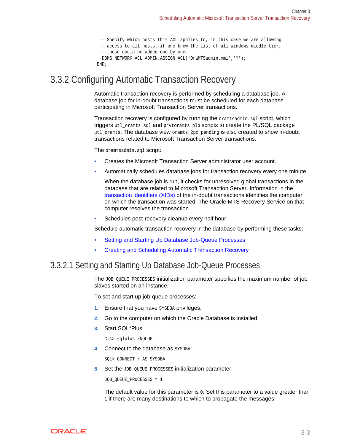```
 -- Specify which hosts this ACL applies to, in this case we are allowing
  -- access to all hosts. if one knew the list of all Windows middle-tier,
  -- these could be added one by one.
  DBMS_NETWORK_ACL_ADMIN.ASSIGN_ACL('OraMTSadmin.xml','*');
 END;
```
### <span id="page-25-0"></span>3.3.2 Configuring Automatic Transaction Recovery

Automatic transaction recovery is performed by scheduling a database job. A database job for in-doubt transactions must be scheduled for each database participating in Microsoft Transaction Server transactions.

Transaction recovery is configured by running the oramtsadmin.sql script, which triggers utl\_oramts.sql and prvtoramts.plb scripts to create the PL/SQL package utl\_oramts. The database view oramts\_2pc\_pending is also created to show in-doubt transactions related to Microsoft Transaction Server transactions.

The oramtsadmin.sql script:

- Creates the Microsoft Transaction Server administrator user account.
- Automatically schedules database jobs for transaction recovery every one minute.

When the database job is run, it checks for unresolved global transactions in the database that are related to Microsoft Transaction Server. Information in the [transaction identifiers \(XIDs\)](#page-61-0) of the in-doubt transactions identifies the computer on which the transaction was started. The Oracle MTS Recovery Service on that computer resolves the transaction.

Schedules post-recovery cleanup every half hour.

Schedule automatic transaction recovery in the database by performing these tasks:

- Setting and Starting Up Database Job-Queue Processes
- [Creating and Scheduling Automatic Transaction Recovery](#page-26-0)

### 3.3.2.1 Setting and Starting Up Database Job-Queue Processes

The JOB\_QUEUE\_PROCESSES initialization parameter specifies the maximum number of job slaves started on an instance.

To set and start up job-queue processes:

- **1.** Ensure that you have SYSDBA privileges.
- **2.** Go to the computer on which the Oracle Database is installed.
- **3.** Start SQL\*Plus:

C:\> sqlplus /NOLOG

**4.** Connect to the database as SYSDBA:

SQL> CONNECT / AS SYSDBA

**5.** Set the JOB QUEUE PROCESSES initialization parameter:

JOB\_QUEUE\_PROCESSES = 1

The default value for this parameter is 0. Set this parameter to a value greater than 1 if there are many destinations to which to propagate the messages.

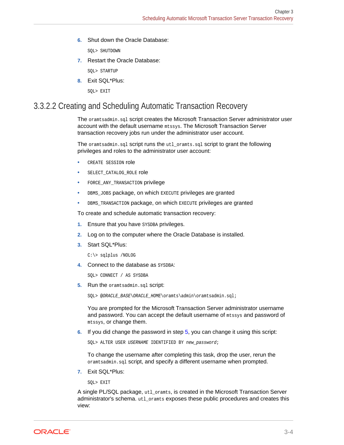<span id="page-26-0"></span>**6.** Shut down the Oracle Database:

SQL> SHUTDOWN

**7.** Restart the Oracle Database:

SQL> STARTUP

**8.** Exit SQL\*Plus:

SQL> EXIT

### 3.3.2.2 Creating and Scheduling Automatic Transaction Recovery

The oramtsadmin.sql script creates the Microsoft Transaction Server administrator user account with the default username mtssys. The Microsoft Transaction Server transaction recovery jobs run under the administrator user account.

The oramtsadmin.sql script runs the utl\_oramts.sql script to grant the following privileges and roles to the administrator user account:

- CREATE SESSION role
- SELECT\_CATALOG\_ROLE role
- FORCE\_ANY\_TRANSACTION privilege
- DBMS\_JOBS package, on which EXECUTE privileges are granted
- DBMS\_TRANSACTION package, on which EXECUTE privileges are granted

To create and schedule automatic transaction recovery:

- **1.** Ensure that you have SYSDBA privileges.
- **2.** Log on to the computer where the Oracle Database is installed.
- **3.** Start SQL\*Plus:

C:\> sqlplus /NOLOG

**4.** Connect to the database as SYSDBA:

SQL> CONNECT / AS SYSDBA

**5.** Run the oramtsadmin.sql script:

SQL> @ORACLE\_BASE\ORACLE\_HOME\oramts\admin\oramtsadmin.sql;

You are prompted for the Microsoft Transaction Server administrator username and password. You can accept the default username of mtssys and password of mtssys, or change them.

**6.** If you did change the password in step 5, you can change it using this script:

SQL> ALTER USER USERNAME IDENTIFIED BY new\_password;

To change the username after completing this task, drop the user, rerun the oramtsadmin.sql script, and specify a different username when prompted.

**7.** Exit SQL\*Plus:

SQL> EXIT

A single PL/SQL package, utl\_oramts, is created in the Microsoft Transaction Server administrator's schema. utl\_oramts exposes these public procedures and creates this view:

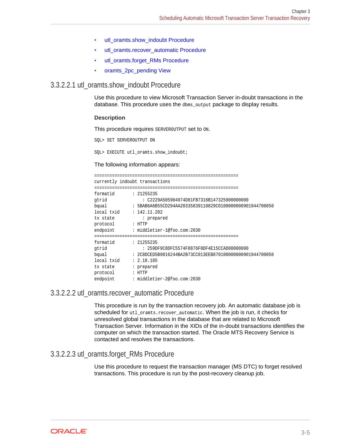- utl\_oramts.show\_indoubt Procedure
- utl\_oramts.recover\_automatic Procedure
- utl\_oramts.forget\_RMs Procedure
- [oramts\\_2pc\\_pending View](#page-28-0)

### <span id="page-27-0"></span>3.3.2.2.1 utl\_oramts.show\_indoubt Procedure

Use this procedure to view Microsoft Transaction Server in-doubt transactions in the database. This procedure uses the dbms\_output package to display results.

### **Description**

This procedure requires SERVEROUTPUT Set to ON.

SQL> SET SERVEROUTPUT ON

SQL> EXECUTE utl\_oramts.show\_indoubt;

#### The following information appears:

========================================================= currently indoubt transactions ========================================================= formatid : 21255235 gtrid : C2229A505904974D81FB7316B147325900000000<br>bqual : 5BAB6A6B55CD294AA20335839110829C010000000000 : 5BAB6A6B55CD294AA20335839110829C01000000000901944700050 local txid : 142.11.202 tx state : prepared protocol : HTTP<br>endpoint : midd endpoint : middletier-1@foo.com:2030 ========================================================= formatid : 21255235 gtrid : 259DF9C8DFC5574F8876F0DF4E15CCAD00000000 bqual : 2C8DCED5B9816244BA2B73CC013EEB870100000000901944700050 local txid : 2.18.185 tx state : prepared protocol : HTTP endpoint : middletier-2@foo.com:2030

### 3.3.2.2.2 utl\_oramts.recover\_automatic Procedure

This procedure is run by the transaction recovery job. An automatic database job is scheduled for utl\_oramts.recover\_automatic. When the job is run, it checks for unresolved global transactions in the database that are related to Microsoft Transaction Server. Information in the XIDs of the in-doubt transactions identifies the computer on which the transaction started. The Oracle MTS Recovery Service is contacted and resolves the transactions.

### 3.3.2.2.3 utl\_oramts.forget\_RMs Procedure

Use this procedure to request the transaction manager (MS DTC) to forget resolved transactions. This procedure is run by the post-recovery cleanup job.

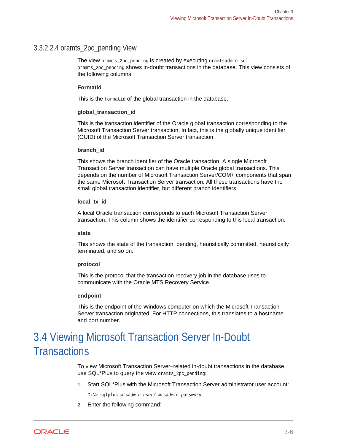### <span id="page-28-0"></span>3.3.2.2.4 oramts\_2pc\_pending View

The view oramts 2pc pending is created by executing oramtsadmin.sql. oramts\_2pc\_pending shows in-doubt transactions in the database. This view consists of the following columns:

### **Formatid**

This is the formatid of the global transaction in the database.

#### **global\_transaction\_id**

This is the transaction identifier of the Oracle global transaction corresponding to the Microsoft Transaction Server transaction. In fact, this is the globally unique identifier (GUID) of the Microsoft Transaction Server transaction.

#### **branch\_id**

This shows the branch identifier of the Oracle transaction. A single Microsoft Transaction Server transaction can have multiple Oracle global transactions. This depends on the number of Microsoft Transaction Server/COM+ components that span the same Microsoft Transaction Server transaction. All these transactions have the small global transaction identifier, but different branch identifiers.

### **local\_tx\_id**

A local Oracle transaction corresponds to each Microsoft Transaction Server transaction. This column shows the identifier corresponding to this local transaction.

#### **state**

This shows the state of the transaction: pending, heuristically committed, heuristically terminated, and so on.

### **protocol**

This is the protocol that the transaction recovery job in the database uses to communicate with the Oracle MTS Recovery Service.

#### **endpoint**

This is the endpoint of the Windows computer on which the Microsoft Transaction Server transaction originated. For HTTP connections, this translates to a hostname and port number.

# 3.4 Viewing Microsoft Transaction Server In-Doubt **Transactions**

To view Microsoft Transaction Server–related in-doubt transactions in the database, use SQL\*Plus to query the view oramts\_2pc\_pending:

**1.** Start SQL\*Plus with the Microsoft Transaction Server administrator user account:

C:\> sqlplus mtsadmin\_user/ mtsadmin\_password

**2.** Enter the following command:

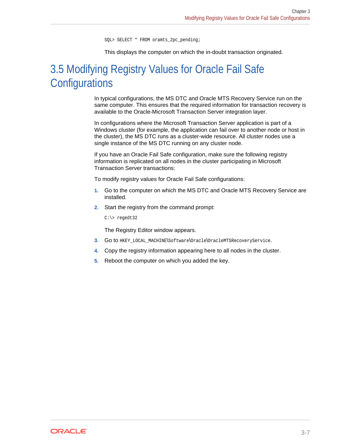SQL> SELECT \* FROM oramts\_2pc\_pending;

This displays the computer on which the in-doubt transaction originated.

# <span id="page-29-0"></span>3.5 Modifying Registry Values for Oracle Fail Safe **Configurations**

In typical configurations, the MS DTC and Oracle MTS Recovery Service run on the same computer. This ensures that the required information for transaction recovery is available to the Oracle-Microsoft Transaction Server integration layer.

In configurations where the Microsoft Transaction Server application is part of a Windows cluster (for example, the application can fail over to another node or host in the cluster), the MS DTC runs as a cluster-wide resource. All cluster nodes use a single instance of the MS DTC running on any cluster node.

If you have an Oracle Fail Safe configuration, make sure the following registry information is replicated on all nodes in the cluster participating in Microsoft Transaction Server transactions:

To modify registry values for Oracle Fail Safe configurations:

- **1.** Go to the computer on which the MS DTC and Oracle MTS Recovery Service are installed.
- **2.** Start the registry from the command prompt:

C:\> regedt32

The Registry Editor window appears.

- **3.** Go to HKEY\_LOCAL\_MACHINE\Software\Oracle\OracleMTSRecoveryService.
- **4.** Copy the registry information appearing here to all nodes in the cluster.
- **5.** Reboot the computer on which you added the key.

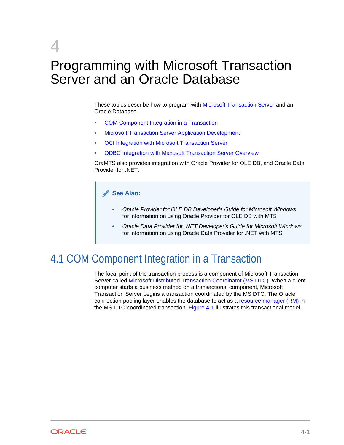# <span id="page-30-0"></span>4 Programming with Microsoft Transaction Server and an Oracle Database

These topics describe how to program with [Microsoft Transaction Server](#page-60-0) and an Oracle Database.

- COM Component Integration in a Transaction
- [Microsoft Transaction Server Application Development](#page-33-0)
- [OCI Integration with Microsoft Transaction Server](#page-35-0)
- [ODBC Integration with Microsoft Transaction Server Overview](#page-46-0)

OraMTS also provides integration with Oracle Provider for OLE DB, and Oracle Data Provider for .NET.

### **See Also:**

- *Oracle Provider for OLE DB Developer's Guide for Microsoft Windows* for information on using Oracle Provider for OLE DB with MTS
- *Oracle Data Provider for .NET Developer's Guide for Microsoft Windows* for information on using Oracle Data Provider for .NET with MTS

## 4.1 COM Component Integration in a Transaction

The focal point of the transaction process is a component of Microsoft Transaction Server called [Microsoft Distributed Transaction Coordinator \(MS DTC\)](#page-59-0). When a client computer starts a business method on a transactional component, Microsoft Transaction Server begins a transaction coordinated by the MS DTC. The Oracle connection pooling layer enables the database to act as a [resource manager \(RM\)](#page-61-0) in the MS DTC-coordinated transaction. [Figure 4-1](#page-31-0) illustrates this transactional model.

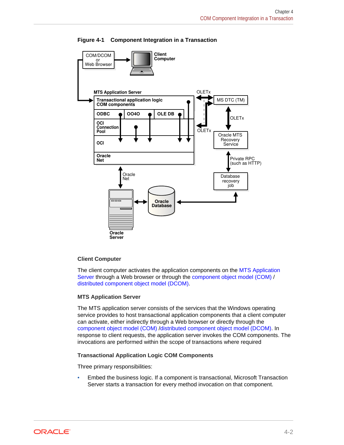<span id="page-31-0"></span>

### **Figure 4-1 Component Integration in a Transaction**

### **Client Computer**

The client computer activates the application components on the MTS Application Server through a Web browser or through the [component object model \(COM\)](#page-59-0) / [distributed component object model \(DCOM\).](#page-59-0)

### **MTS Application Server**

The MTS application server consists of the services that the Windows operating service provides to host transactional application components that a client computer can activate, either indirectly through a Web browser or directly through the [component object model \(COM\) /distributed component object model \(DCOM\)](#page-59-0). In response to client requests, the application server invokes the COM components. The invocations are performed within the scope of transactions where required

### **Transactional Application Logic COM Components**

Three primary responsibilities:

• Embed the business logic. If a component is transactional, Microsoft Transaction Server starts a transaction for every method invocation on that component.

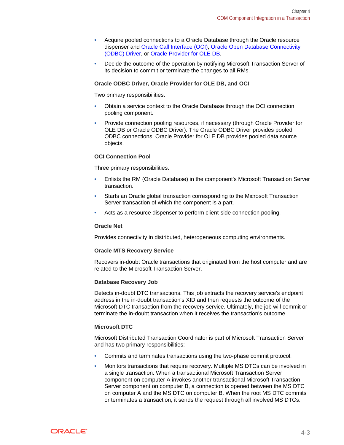- Acquire pooled connections to a Oracle Database through the Oracle resource dispenser and [Oracle Call Interface \(OCI\),](#page-60-0) [Oracle Open Database Connectivity](#page-60-0) [\(ODBC\) Driver,](#page-60-0) or [Oracle Provider for OLE DB.](#page-61-0)
- Decide the outcome of the operation by notifying Microsoft Transaction Server of its decision to commit or terminate the changes to all RMs.

### **Oracle ODBC Driver, Oracle Provider for OLE DB, and OCI**

Two primary responsibilities:

- Obtain a service context to the Oracle Database through the OCI connection pooling component.
- Provide connection pooling resources, if necessary (through Oracle Provider for OLE DB or Oracle ODBC Driver). The Oracle ODBC Driver provides pooled ODBC connections. Oracle Provider for OLE DB provides pooled data source objects.

### **OCI Connection Pool**

Three primary responsibilities:

- Enlists the RM (Oracle Database) in the component's Microsoft Transaction Server transaction.
- Starts an Oracle global transaction corresponding to the Microsoft Transaction Server transaction of which the component is a part.
- Acts as a resource dispenser to perform client-side connection pooling.

#### **Oracle Net**

Provides connectivity in distributed, heterogeneous computing environments.

#### **Oracle MTS Recovery Service**

Recovers in-doubt Oracle transactions that originated from the host computer and are related to the Microsoft Transaction Server.

#### **Database Recovery Job**

Detects in-doubt DTC transactions. This job extracts the recovery service's endpoint address in the in-doubt transaction's XID and then requests the outcome of the Microsoft DTC transaction from the recovery service. Ultimately, the job will commit or terminate the in-doubt transaction when it receives the transaction's outcome.

### **Microsoft DTC**

Microsoft Distributed Transaction Coordinator is part of Microsoft Transaction Server and has two primary responsibilities:

- Commits and terminates transactions using the two-phase commit protocol.
- Monitors transactions that require recovery. Multiple MS DTCs can be involved in a single transaction. When a transactional Microsoft Transaction Server component on computer A invokes another transactional Microsoft Transaction Server component on computer B, a connection is opened between the MS DTC on computer A and the MS DTC on computer B. When the root MS DTC commits or terminates a transaction, it sends the request through all involved MS DTCs.

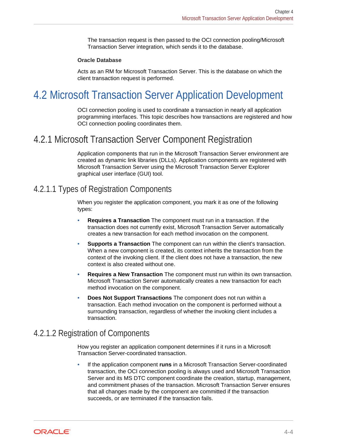<span id="page-33-0"></span>The transaction request is then passed to the OCI connection pooling/Microsoft Transaction Server integration, which sends it to the database.

### **Oracle Database**

Acts as an RM for Microsoft Transaction Server. This is the database on which the client transaction request is performed.

# 4.2 Microsoft Transaction Server Application Development

OCI connection pooling is used to coordinate a transaction in nearly all application programming interfaces. This topic describes how transactions are registered and how OCI connection pooling coordinates them.

### 4.2.1 Microsoft Transaction Server Component Registration

Application components that run in the Microsoft Transaction Server environment are created as dynamic link libraries (DLLs). Application components are registered with Microsoft Transaction Server using the Microsoft Transaction Server Explorer graphical user interface (GUI) tool.

### 4.2.1.1 Types of Registration Components

When you register the application component, you mark it as one of the following types:

- **Requires a Transaction** The component must run in a transaction. If the transaction does not currently exist, Microsoft Transaction Server automatically creates a new transaction for each method invocation on the component.
- **Supports a Transaction** The component can run within the client's transaction. When a new component is created, its context inherits the transaction from the context of the invoking client. If the client does not have a transaction, the new context is also created without one.
- **Requires a New Transaction** The component must run within its own transaction. Microsoft Transaction Server automatically creates a new transaction for each method invocation on the component.
- **Does Not Support Transactions** The component does not run within a transaction. Each method invocation on the component is performed without a surrounding transaction, regardless of whether the invoking client includes a transaction.

### 4.2.1.2 Registration of Components

How you register an application component determines if it runs in a Microsoft Transaction Server-coordinated transaction.

• If the application component **runs** in a Microsoft Transaction Server-coordinated transaction, the OCI connection pooling is always used and Microsoft Transaction Server and its MS DTC component coordinate the creation, startup, management, and commitment phases of the transaction. Microsoft Transaction Server ensures that all changes made by the component are committed if the transaction succeeds, or are terminated if the transaction fails.

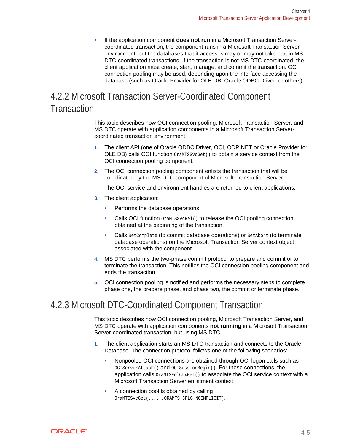<span id="page-34-0"></span>• If the application component **does not run** in a Microsoft Transaction Servercoordinated transaction, the component runs in a Microsoft Transaction Server environment, but the databases that it accesses may or may not take part in MS DTC-coordinated transactions. If the transaction is not MS DTC-coordinated, the client application must create, start, manage, and commit the transaction. OCI connection pooling may be used, depending upon the interface accessing the database (such as Oracle Provider for OLE DB, Oracle ODBC Driver, or others).

## 4.2.2 Microsoft Transaction Server-Coordinated Component **Transaction**

This topic describes how OCI connection pooling, Microsoft Transaction Server, and MS DTC operate with application components in a Microsoft Transaction Servercoordinated transaction environment.

- **1.** The client API (one of Oracle ODBC Driver, OCI, ODP.NET or Oracle Provider for OLE DB) calls OCI function OraMTSSvcGet() to obtain a service context from the OCI connection pooling component.
- **2.** The OCI connection pooling component enlists the transaction that will be coordinated by the MS DTC component of Microsoft Transaction Server.

The OCI service and environment handles are returned to client applications.

- **3.** The client application:
	- Performs the database operations.
	- Calls OCI function OraMTSSvcRel() to release the OCI pooling connection obtained at the beginning of the transaction.
	- Calls SetComplete (to commit database operations) or SetAbort (to terminate database operations) on the Microsoft Transaction Server context object associated with the component.
- **4.** MS DTC performs the two-phase commit protocol to prepare and commit or to terminate the transaction. This notifies the OCI connection pooling component and ends the transaction.
- **5.** OCI connection pooling is notified and performs the necessary steps to complete phase one, the prepare phase, and phase two, the commit or terminate phase.

## 4.2.3 Microsoft DTC-Coordinated Component Transaction

This topic describes how OCI connection pooling, Microsoft Transaction Server, and MS DTC operate with application components **not running** in a Microsoft Transaction Server-coordinated transaction, but using MS DTC.

- **1.** The client application starts an MS DTC transaction and connects to the Oracle Database. The connection protocol follows one of the following scenarios:
	- Nonpooled OCI connections are obtained through OCI logon calls such as OCIServerAttach() and OCISessionBegin(). For these connections, the application calls OraMTSEnlCtxGet() to associate the OCI service context with a Microsoft Transaction Server enlistment context.
	- A connection pool is obtained by calling OraMTSSvcGet(..,..,ORAMTS\_CFLG\_NOIMPLICIT).

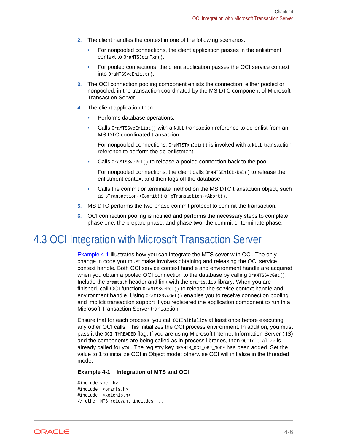- <span id="page-35-0"></span>**2.** The client handles the context in one of the following scenarios:
	- For nonpooled connections, the client application passes in the enlistment context to OraMTSJoinTxn().
	- For pooled connections, the client application passes the OCI service context into OraMTSSvcEnlist().
- **3.** The OCI connection pooling component enlists the connection, either pooled or nonpooled, in the transaction coordinated by the MS DTC component of Microsoft Transaction Server.
- **4.** The client application then:
	- Performs database operations.
	- Calls  $OrankTSSvcEnlist()$  with a NULL transaction reference to de-enlist from an MS DTC coordinated transaction.

For nonpooled connections,  $OramTSTxnJoin()$  is invoked with a NULL transaction reference to perform the de-enlistment.

Calls  $OrankTSSvcRel()$  to release a pooled connection back to the pool.

For nonpooled connections, the client calls  $Orank(\text{Euler})$  to release the enlistment context and then logs off the database.

- Calls the commit or terminate method on the MS DTC transaction object, such as pTransaction->Commit() or pTransaction->Abort().
- **5.** MS DTC performs the two-phase commit protocol to commit the transaction.
- **6.** OCI connection pooling is notified and performs the necessary steps to complete phase one, the prepare phase, and phase two, the commit or terminate phase.

## 4.3 OCI Integration with Microsoft Transaction Server

Example 4-1 illustrates how you can integrate the MTS sever with OCI. The only change in code you must make involves obtaining and releasing the OCI service context handle. Both OCI service context handle and environment handle are acquired when you obtain a pooled OCI connection to the database by calling  $OrankTSSvCGet()$ . Include the oramts.h header and link with the oramts.lib library. When you are finished, call OCI function  $OrankTSSvcRel()$  to release the service context handle and environment handle. Using  $OramTSSvcGet()$  enables you to receive connection pooling and implicit transaction support if you registered the application component to run in a Microsoft Transaction Server transaction.

Ensure that for each process, you call OCIInitialize at least once before executing any other OCI calls. This initializes the OCI process environment. In addition, you must pass it the OCI\_THREADED flag. If you are using Microsoft Internet Information Server (IIS) and the components are being called as in-process libraries, then occunitialize is already called for you. The registry key ORAMTS\_OCI\_OBJ\_MODE has been added. Set the value to 1 to initialize OCI in Object mode; otherwise OCI will initialize in the threaded mode.

#### **Example 4-1 Integration of MTS and OCI**

```
#include <oci.h> 
#include <oramts.h> 
#include <xolehlp.h> 
// other MTS relevant includes ...
```
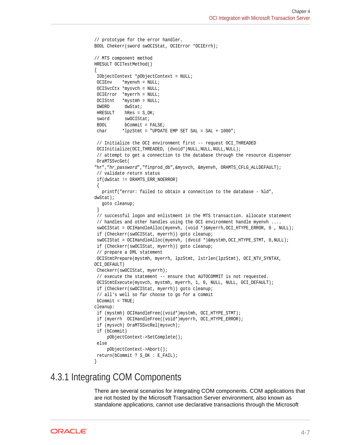```
// prototype for the error handler. 
BOOL Chekerr(sword swOCIStat, OCIError *OCIErrh); 
// MTS component method 
HRESULT OCITestMethod() 
{ 
 IObjectContext *pObjectContext = NULL; 
 OCIEnv *myenvh = NULL; 
 OCISvcCtx *mysvch = NULL; 
 OCIError *myerrh = NULL; 
 OCIStnt *mystmh = NULL; 
DWORD dwStat;
HRESULT hRes = S_0K;
sword swOCIStat;
 BOOL bCommit = FALSE; 
 char *lpzStmt = "UPDATE EMP SET SAL = SAL + 1000"; 
 // Initialize the OCI environment first -- request OCI_THREADED 
OCIInitialize(OCI_THREADED, (dvoid*)NULL,NULL,NULL,NULL);
  // attempt to get a connection to the database through the resource dispenser 
 OraMTSSvcGet( 
"hr","hr_password","finprod_db",&mysvch, &myenvh, ORAMTS_CFLG_ALLDEFAULT); 
  // validate return status 
 if(dwStat != ORAMTS_ERR_NOERROR) 
\left\{ \right. printf("error: failed to obtain a connection to the database - %ld", 
dwStat); 
   goto cleanup; 
 } 
  // successful logon and enlistment in the MTS transaction. allocate statement 
  // handles and other handles using the OCI environment handle myenvh .... 
  swOCIStat = OCIHandleAlloc(myenvh, (void *)&myerrh,OCI_HTYPE_ERROR, 0 , NULL); 
  if (Checkerr(swOCIStat, myerrh)) goto cleanup; 
  swOCIStat = OCIHandleAlloc(myenvh, (dvoid *)&mystmh,OCI_HTYPE_STMT, 0,NULL); 
  if (Checkerr(swOCIStat, myerrh)) goto cleanup;
  // prepare a DML statement 
 OCIStmtPrepare(mystmh, myerrh, lpzStmt, lstrlen(lpzStmt), OCI_NTV_SYNTAX, 
OCI_DEFAULT) 
 Checkerr(swOCIStat, myerrh); 
 // execute the statement -- ensure that AUTOCOMMIT is not requested. 
 OCIStmtExecute(mysvch, mystmh, myerrh, 1, 0, NULL, NULL, OCI_DEFAULT); 
 if (Checkerr(swOCIStat, myerrh)) goto cleanup; 
 // all's well so far choose to go for a commit 
bCommit = TRUE;
cleanup: 
 if (mystmh) OCIHandleFree((void*)mystmh, OCI_HTYPE_STMT); 
 if (myerrh OCIHandleFree((void*)myerrh, OCI_HTYPE_ERROR); 
 if (mysvch) OraMTSSvcRel(mysvch); 
 if (bCommit) 
     pObjectContext->SetComplete(); 
 else 
      pObjectContext->Abort(); 
 return(bCommit ? S_OK : E_FAIL); 
}
```
## 4.3.1 Integrating COM Components

There are several scenarios for integrating COM components. COM applications that are not hosted by the Microsoft Transaction Server environment, also known as standalone applications, cannot use declarative transactions through the Microsoft

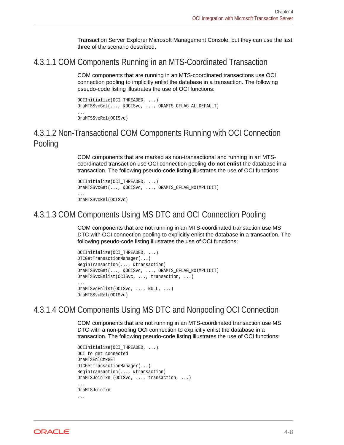Transaction Server Explorer Microsoft Management Console, but they can use the last three of the scenario described.

### <span id="page-37-0"></span>4.3.1.1 COM Components Running in an MTS-Coordinated Transaction

COM components that are running in an MTS-coordinated transactions use OCI connection pooling to implicitly enlist the database in a transaction. The following pseudo-code listing illustrates the use of OCI functions:

```
OCIInitialize(OCI_THREADED, ...)
OraMTSSvcGet(..., &OCISvc, ..., ORAMTS_CFLAG_ALLDEFAULT)
...
OraMTSSvcRel(OCISvc)
```
### 4.3.1.2 Non-Transactional COM Components Running with OCI Connection Pooling

COM components that are marked as non-transactional and running in an MTScoordinated transaction use OCI connection pooling **do not enlist** the database in a transaction. The following pseudo-code listing illustrates the use of OCI functions:

```
OCIInitialize(OCI_THREADED, ...)
OraMTSSvcGet(..., &OCISvc, ..., ORAMTS_CFLAG_NOIMPLICIT)
...
```

```
OraMTSSvcRel(OCISvc)
```
### 4.3.1.3 COM Components Using MS DTC and OCI Connection Pooling

COM components that are not running in an MTS-coordinated transaction use MS DTC with OCI connection pooling to explicitly enlist the database in a transaction. The following pseudo-code listing illustrates the use of OCI functions:

```
OCIInitialize(OCI_THREADED, ...)
DTCGetTransactionManager(...)
BeginTransaction(..., &transaction)
OraMTSSvcGet(..., &OCISvc, ..., ORAMTS_CFLAG_NOIMPLICIT)
OraMTSSvcEnlist(OCISvc, ..., transaction, ...)
...
OraMTSvcEnlist(OCISvc, ..., NULL, ...)
OraMTSSvcRel(OCISvc)
```
### 4.3.1.4 COM Components Using MS DTC and Nonpooling OCI Connection

COM components that are not running in an MTS-coordinated transaction use MS DTC with a non-pooling OCI connection to explicitly enlist the database in a transaction. The following pseudo-code listing illustrates the use of OCI functions:

```
OCIInitialize(OCI_THREADED, ...)
OCI to get connected
OraMTSEnlCtxGET
DTCGetTransactionManager(...)
BeginTransaction(..., &transaction)
OraMTSJoinTxn (OCISvc, ..., transaction, ...)
...
OraMTSJoinTxn
...
```
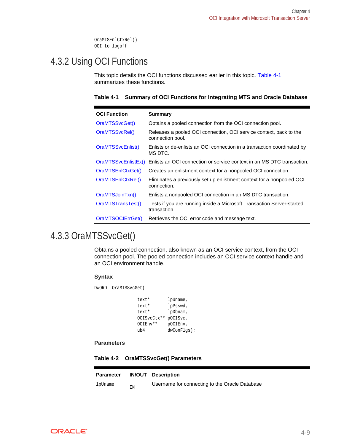OraMTSEnlCtxRel() OCI to logoff

## <span id="page-38-0"></span>4.3.2 Using OCI Functions

This topic details the OCI functions discussed earlier in this topic. Table 4-1 summarizes these functions.

|  |  |  |  |  | Table 4-1 Summary of OCI Functions for Integrating MTS and Oracle Database |  |  |  |  |
|--|--|--|--|--|----------------------------------------------------------------------------|--|--|--|--|
|--|--|--|--|--|----------------------------------------------------------------------------|--|--|--|--|

| <b>OCI Function</b> | Summary                                                                                |
|---------------------|----------------------------------------------------------------------------------------|
| OraMTSSvcGet()      | Obtains a pooled connection from the OCI connection pool.                              |
| OraMTSSvcRel()      | Releases a pooled OCI connection, OCI service context, back to the<br>connection pool. |
| OraMTSSvcEnlist()   | Enlists or de-enlists an OCI connection in a transaction coordinated by<br>MS DTC.     |
| OraMTSSvcEnlistEx() | Enlists an OCI connection or service context in an MS DTC transaction.                 |
| OraMTSEnICtxGet()   | Creates an enlistment context for a nonpooled OCI connection.                          |
| OraMTSEnICtxRel()   | Eliminates a previously set up enlistment context for a nonpooled OCI<br>connection.   |
| OraMTSJoinTxn()     | Enlists a nonpooled OCI connection in an MS DTC transaction.                           |
| OraMTSTransTest()   | Tests if you are running inside a Microsoft Transaction Server-started<br>transaction. |
| OraMTSOCIErrGet()   | Retrieves the OCI error code and message text.                                         |

## 4.3.3 OraMTSSvcGet()

Obtains a pooled connection, also known as an OCI service context, from the OCI connection pool. The pooled connection includes an OCI service context handle and an OCI environment handle.

### **Syntax**

DWORD OraMTSSvcGet(

| text*       | lpUname,    |
|-------------|-------------|
| text*       | lpPsswd,    |
| text*       | lpDbnam,    |
| OCISvcCtx** | pOCISvc,    |
| OCIEnv**    | pOCIEnv,    |
| ub4         | dwConFlgs); |

**Parameters**

**Table 4-2 OraMTSSvcGet() Parameters**

| <b>Parameter</b> |    | <b>IN/OUT Description</b>                      |
|------------------|----|------------------------------------------------|
| lpUname          | ΙN | Username for connecting to the Oracle Database |

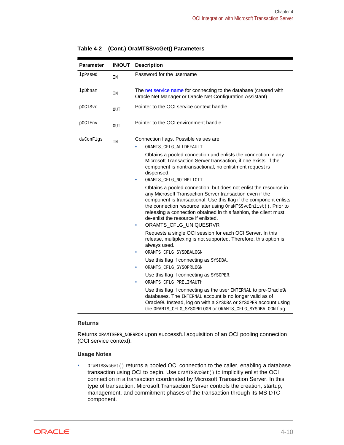| <b>Parameter</b> | <b>IN/OUT</b> | <b>Description</b>                                                                                                                                                                                                                                                                                                                                                                                              |
|------------------|---------------|-----------------------------------------------------------------------------------------------------------------------------------------------------------------------------------------------------------------------------------------------------------------------------------------------------------------------------------------------------------------------------------------------------------------|
| lpPsswd          | IN            | Password for the username                                                                                                                                                                                                                                                                                                                                                                                       |
| lpDbnam          | IN            | The net service name for connecting to the database (created with<br>Oracle Net Manager or Oracle Net Configuration Assistant)                                                                                                                                                                                                                                                                                  |
| pOCISvc          | <b>OUT</b>    | Pointer to the OCI service context handle                                                                                                                                                                                                                                                                                                                                                                       |
| pOCIEnv          | <b>OUT</b>    | Pointer to the OCI environment handle                                                                                                                                                                                                                                                                                                                                                                           |
| dwConFlgs        | IN            | Connection flags. Possible values are:<br>ORAMTS CFLG ALLDEFAULT                                                                                                                                                                                                                                                                                                                                                |
|                  |               | Obtains a pooled connection and enlists the connection in any<br>Microsoft Transaction Server transaction, if one exists. If the<br>component is nontransactional, no enlistment request is<br>dispensed.                                                                                                                                                                                                       |
|                  |               | ORAMTS CFLG NOIMPLICIT                                                                                                                                                                                                                                                                                                                                                                                          |
|                  |               | Obtains a pooled connection, but does not enlist the resource in<br>any Microsoft Transaction Server transaction even if the<br>component is transactional. Use this flag if the component enlists<br>the connection resource later using OraMTSSvcEnlist(). Prior to<br>releasing a connection obtained in this fashion, the client must<br>de-enlist the resource if enlisted.<br>ORAMTS CFLG UNIQUESRVR<br>۰ |
|                  |               | Requests a single OCI session for each OCI Server. In this<br>release, multiplexing is not supported. Therefore, this option is<br>always used.                                                                                                                                                                                                                                                                 |
|                  |               | ORAMTS_CFLG_SYSDBALOGN<br>٠                                                                                                                                                                                                                                                                                                                                                                                     |
|                  |               | Use this flag if connecting as SYSDBA.                                                                                                                                                                                                                                                                                                                                                                          |
|                  |               | ORAMTS CFLG SYSOPRLOGN<br>۰                                                                                                                                                                                                                                                                                                                                                                                     |
|                  |               | Use this flag if connecting as SYSOPER.                                                                                                                                                                                                                                                                                                                                                                         |
|                  |               | ORAMTS_CFLG_PRELIMAUTH<br>$\bullet$                                                                                                                                                                                                                                                                                                                                                                             |
|                  |               | Use this flag if connecting as the user INTERNAL to pre-Oracle9i<br>databases. The INTERNAL account is no longer valid as of<br>Oracle9i. Instead, log on with a SYSDBA or SYSOPER account using<br>the ORAMTS_CFLG_SYSOPRLOGN OF ORAMTS_CFLG_SYSDBALOGN flag.                                                                                                                                                  |

### <span id="page-39-0"></span>**Table 4-2 (Cont.) OraMTSSvcGet() Parameters**

#### **Returns**

Returns ORAMTSERR\_NOERROR upon successful acquisition of an OCI pooling connection (OCI service context).

#### **Usage Notes**

• OraMTSSvcGet() returns a pooled OCI connection to the caller, enabling a database transaction using OCI to begin. Use OraMTSSvcGet() to implicitly enlist the OCI connection in a transaction coordinated by Microsoft Transaction Server. In this type of transaction, Microsoft Transaction Server controls the creation, startup, management, and commitment phases of the transaction through its MS DTC component.

**ORACLE®**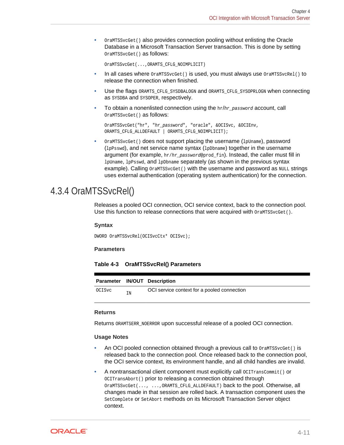<span id="page-40-0"></span>• OraMTSSvcGet() also provides connection pooling without enlisting the Oracle Database in a Microsoft Transaction Server transaction. This is done by setting OraMTSSvcGet() as follows:

OraMTSSvcGet(...,ORAMTS\_CFLG\_NOIMPLICIT)

- In all cases where  $OraMTSSvCGet()$  is used, you must always use  $OraMTSSvCRel()$  to release the connection when finished.
- Use the flags ORAMTS CFLG SYSDBALOGN and ORAMTS CFLG SYSOPRLOGN when connecting as SYSDBA and SYSOPER, respectively.
- To obtain a nonenlisted connection using the  $hr/hr_{password}$  account, call OraMTSSvcGet() as follows:

```
OraMTSSvcGet("hr", "hr_password", "oracle", &OCISvc, &OCIEnv, 
ORAMTS_CFLG_ALLDEFAULT | ORAMTS_CFLG_NOIMPLICIT);
```
OraMTSSvcGet() does not support placing the username (lpUname), password (lpPsswd), and net service name syntax (lpDbname) together in the username argument (for example, hr/hr\_password@prod\_fin). Instead, the caller must fill in lpUname, lpPsswd, and lpDbname separately (as shown in the previous syntax example). Calling  $OramTSSvcGet()$  with the username and password as NULL strings uses external authentication (operating system authentication) for the connection.

### 4.3.4 OraMTSSvcRel()

Releases a pooled OCI connection, OCI service context, back to the connection pool. Use this function to release connections that were acquired with  $OrankScycle$  ().

### **Syntax**

DWORD OraMTSSvcRel(OCISvcCtx\* OCISvc);

### **Parameters**

**Table 4-3 OraMTSSvcRel() Parameters**

|        |    | Parameter IN/OUT Description                |
|--------|----|---------------------------------------------|
| OCISvc | IN | OCI service context for a pooled connection |

#### **Returns**

Returns ORAMTSERR\_NOERROR upon successful release of a pooled OCI connection.

### **Usage Notes**

- An OCI pooled connection obtained through a previous call to  $O(\text{maxSsvcGet})$  is released back to the connection pool. Once released back to the connection pool, the OCI service context, its environment handle, and all child handles are invalid.
- A nontransactional client component must explicitly call  $OCTransComut()$  or OCITransAbort() prior to releasing a connection obtained through OraMTSSvcGet(..., ...,ORAMTS\_CFLG\_ALLDEFAULT) back to the pool. Otherwise, all changes made in that session are rolled back. A transaction component uses the SetComplete or SetAbort methods on its Microsoft Transaction Server object context.

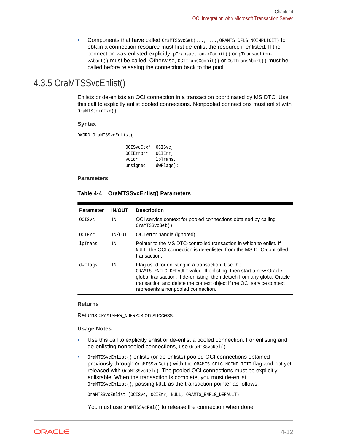• Components that have called OraMTSSvcGet(..., ...,ORAMTS\_CFLG\_NOIMPLICIT) to obtain a connection resource must first de-enlist the resource if enlisted. If the connection was enlisted explicitly, pTransaction->Commit() or pTransaction- >Abort() must be called. Otherwise, OCITransCommit() or OCITransAbort() must be called before releasing the connection back to the pool.

## <span id="page-41-0"></span>4.3.5 OraMTSSvcEnlist()

Enlists or de-enlists an OCI connection in a transaction coordinated by MS DTC. Use this call to explicitly enlist pooled connections. Nonpooled connections must enlist with OraMTSJoinTxn().

### **Syntax**

DWORD OraMTSSvcEnlist(

| OCISvcCtx* | OCISvc,     |
|------------|-------------|
| OCIError*  | OCIErr.     |
| void*      | lpTrans,    |
| unsigned   | $dwFlaqs$ ; |

### **Parameters**

### **Table 4-4 OraMTSSvcEnlist() Parameters**

| <b>Parameter</b> | <b>IN/OUT</b> | <b>Description</b>                                                                                                                                                                                                                                                                                              |
|------------------|---------------|-----------------------------------------------------------------------------------------------------------------------------------------------------------------------------------------------------------------------------------------------------------------------------------------------------------------|
| <b>OCISvc</b>    | IN            | OCI service context for pooled connections obtained by calling<br>OraMTSSvcGet()                                                                                                                                                                                                                                |
| OCIErr           | IN/OUT        | OCI error handle (ignored)                                                                                                                                                                                                                                                                                      |
| lpTrans          | TN            | Pointer to the MS DTC-controlled transaction in which to enlist. If<br>NULL, the OCI connection is de-enlisted from the MS DTC-controlled<br>transaction.                                                                                                                                                       |
| dwFlags          | IN            | Flag used for enlisting in a transaction. Use the<br>ORAMTS_ENFLG_DEFAULT value. If enlisting, then start a new Oracle<br>global transaction. If de-enlisting, then detach from any global Oracle<br>transaction and delete the context object if the OCI service context<br>represents a nonpooled connection. |

### **Returns**

Returns ORAMTSERR\_NOERROR on success.

### **Usage Notes**

- Use this call to explicitly enlist or de-enlist a pooled connection. For enlisting and de-enlisting nonpooled connections, use  $0$ raMTSSvcRel().
- OraMTSSvcEnlist() enlists (or de-enlists) pooled OCI connections obtained previously through OraMTSSvcGet() with the ORAMTS\_CFLG\_NOIMPLICIT flag and not yet released with  $OrankScycle1()$ . The pooled OCI connections must be explicitly enlistable. When the transaction is complete, you must de-enlist OraMTSSvcEnlist(), passing NULL as the transaction pointer as follows:

OraMTSSvcEnlist (OCISvc, OCIErr, NULL, ORAMTS\_ENFLG\_DEFAULT)

You must use  $OrankScycle1()$  to release the connection when done.

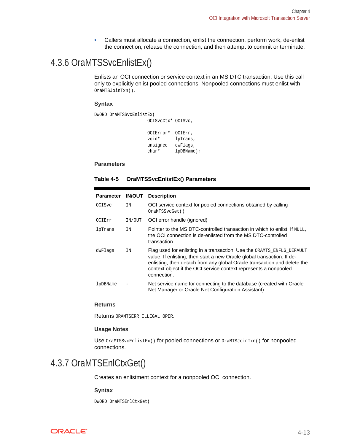• Callers must allocate a connection, enlist the connection, perform work, de-enlist the connection, release the connection, and then attempt to commit or terminate.

## <span id="page-42-0"></span>4.3.6 OraMTSSvcEnlistEx()

Enlists an OCI connection or service context in an MS DTC transaction. Use this call only to explicitly enlist pooled connections. Nonpooled connections must enlist with OraMTSJoinTxn().

#### **Syntax**

```
DWORD OraMTSSvcEnlistEx(
                     OCISvcCtx* OCISvc, 
                     OCIError* OCIErr, 
                     void* lpTrans, 
                     unsigned dwFlags,
                     char* lpDBName);
```
### **Parameters**

| Table 4-5 | <b>OraMTSSvcEnlistEx() Parameters</b> |
|-----------|---------------------------------------|
|-----------|---------------------------------------|

| <b>Parameter</b> | <b>IN/OUT</b> | <b>Description</b>                                                                                                                                                                                                                                                                                               |
|------------------|---------------|------------------------------------------------------------------------------------------------------------------------------------------------------------------------------------------------------------------------------------------------------------------------------------------------------------------|
| 0CISvc           | ΙN            | OCI service context for pooled connections obtained by calling<br>OraMTSSvcGet()                                                                                                                                                                                                                                 |
| OCIErr           | IN/OUT        | OCI error handle (ignored)                                                                                                                                                                                                                                                                                       |
| lpTrans          | TN            | Pointer to the MS DTC-controlled transaction in which to enlist. If NULL,<br>the OCI connection is de-enlisted from the MS DTC-controlled<br>transaction.                                                                                                                                                        |
| dwFlags          | IN            | Flag used for enlisting in a transaction. Use the ORAMTS ENFLG DEFAULT<br>value. If enlisting, then start a new Oracle global transaction. If de-<br>enlisting, then detach from any global Oracle transaction and delete the<br>context object if the OCI service context represents a nonpooled<br>connection. |
| lpDBName         |               | Net service name for connecting to the database (created with Oracle<br>Net Manager or Oracle Net Configuration Assistant)                                                                                                                                                                                       |

#### **Returns**

Returns ORAMTSERR\_ILLEGAL\_OPER.

### **Usage Notes**

Use OraMTSSvcEnlistEx() for pooled connections or OraMTSJoinTxn() for nonpooled connections.

### 4.3.7 OraMTSEnlCtxGet()

Creates an enlistment context for a nonpooled OCI connection.

#### **Syntax**

DWORD OraMTSEnlCtxGet(

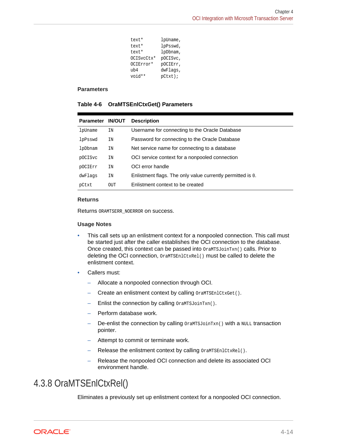<span id="page-43-0"></span>

| text*  | lpUname,               |
|--------|------------------------|
| text*  | lpPsswd,               |
| text*  | lpDbnam,               |
|        | OCISvcCtx*<br>pOCISvc, |
|        | OCIError*<br>pOCIErr,  |
| ub4    | dwFlags,               |
| void** | $pCtxt$ );             |

#### **Parameters**

|  | Table 4-6 OraMTSEnICtxGet() Parameters |  |
|--|----------------------------------------|--|
|--|----------------------------------------|--|

| Parameter IN/OUT |     | <b>Description</b>                                         |
|------------------|-----|------------------------------------------------------------|
| lpUname          | ΙN  | Username for connecting to the Oracle Database             |
| lpPsswd          | IN  | Password for connecting to the Oracle Database             |
| lpDbnam          | IN  | Net service name for connecting to a database              |
| p0CISvc          | IN  | OCI service context for a nonpooled connection             |
| pOCIErr          | IN  | OCI error handle                                           |
| dwFlaqs          | IN  | Enlistment flags. The only value currently permitted is 0. |
| pCtxt            | OUT | Enlistment context to be created                           |

### **Returns**

Returns ORAMTSERR\_NOERROR on success.

### **Usage Notes**

- This call sets up an enlistment context for a nonpooled connection. This call must be started just after the caller establishes the OCI connection to the database. Once created, this context can be passed into  $O(1)$  ora $MTSJO(1)$  calls. Prior to deleting the OCI connection, OraMTSEn1CtxRel() must be called to delete the enlistment context.
- Callers must:
	- Allocate a nonpooled connection through OCI.
	- Create an enlistment context by calling OraMTSEnlCtxGet().
	- Enlist the connection by calling OraMTSJoinTxn().
	- Perform database work.
	- $-$  De-enlist the connection by calling  $OramTSJoinTxn()$  with a NULL transaction pointer.
	- Attempt to commit or terminate work.
	- Release the enlistment context by calling OraMTSEnlCtxRel().
	- Release the nonpooled OCI connection and delete its associated OCI environment handle.

### 4.3.8 OraMTSEnlCtxRel()

Eliminates a previously set up enlistment context for a nonpooled OCI connection.

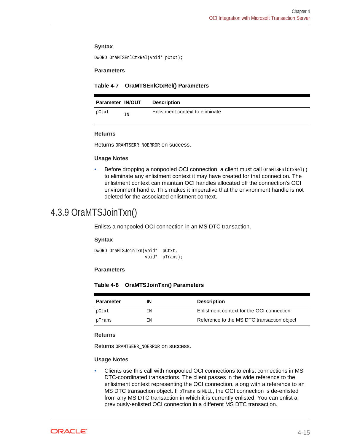### <span id="page-44-0"></span>**Syntax**

DWORD OraMTSEnlCtxRel(void\* pCtxt);

#### **Parameters**

#### **Table 4-7 OraMTSEnlCtxRel() Parameters**

| <b>Parameter IN/OUT</b> |    | <b>Description</b>              |
|-------------------------|----|---------------------------------|
| pCtxt                   | IN | Enlistment context to eliminate |

#### **Returns**

Returns ORAMTSERR\_NOERROR on success.

#### **Usage Notes**

Before dropping a nonpooled OCI connection, a client must call OraMTSEn1CtxRe1() to eliminate any enlistment context it may have created for that connection. The enlistment context can maintain OCI handles allocated off the connection's OCI environment handle. This makes it imperative that the environment handle is not deleted for the associated enlistment context.

### 4.3.9 OraMTSJoinTxn()

Enlists a nonpooled OCI connection in an MS DTC transaction.

#### **Syntax**

DWORD OraMTSJoinTxn(void\* pCtxt, void\* pTrans);

#### **Parameters**

### **Table 4-8 OraMTSJoinTxn() Parameters**

| <b>Parameter</b> | IΝ | <b>Description</b>                         |
|------------------|----|--------------------------------------------|
| pCtxt            | ΙN | Enlistment context for the OCI connection  |
| pTrans           | ΙN | Reference to the MS DTC transaction object |

#### **Returns**

Returns ORAMTSERR\_NOERROR on success.

#### **Usage Notes**

• Clients use this call with nonpooled OCI connections to enlist connections in MS DTC-coordinated transactions. The client passes in the wide reference to the enlistment context representing the OCI connection, along with a reference to an MS DTC transaction object. If pTrans is NULL, the OCI connection is de-enlisted from any MS DTC transaction in which it is currently enlisted. You can enlist a previously-enlisted OCI connection in a different MS DTC transaction.

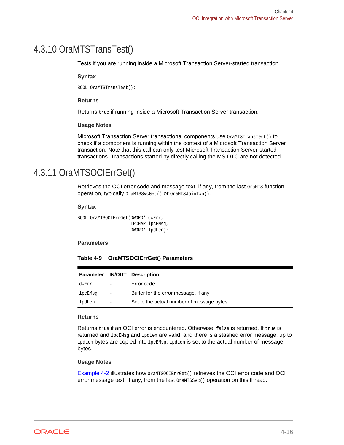## <span id="page-45-0"></span>4.3.10 OraMTSTransTest()

Tests if you are running inside a Microsoft Transaction Server-started transaction.

### **Syntax**

BOOL OraMTSTransTest();

### **Returns**

Returns true if running inside a Microsoft Transaction Server transaction.

### **Usage Notes**

Microsoft Transaction Server transactional components use OraMTSTransTest() to check if a component is running within the context of a Microsoft Transaction Server transaction. Note that this call can only test Microsoft Transaction Server-started transactions. Transactions started by directly calling the MS DTC are not detected.

### 4.3.11 OraMTSOCIErrGet()

Retrieves the OCI error code and message text, if any, from the last orants function operation, typically OraMTSSvcGet() or OraMTSJoinTxn().

### **Syntax**

```
BOOL OraMTSOCIErrGet(DWORD* dwErr, 
                       LPCHAR lpcEMsg, 
                       DWORD* lpdLen);
```
#### **Parameters**

|  | Table 4-9 OraMTSOCIErrGet() Parameters |  |
|--|----------------------------------------|--|
|--|----------------------------------------|--|

|         |                          | Parameter IN/OUT Description              |
|---------|--------------------------|-------------------------------------------|
| dwErr   | $\qquad \qquad -$        | Error code                                |
| lpcEMsq | $\overline{\phantom{m}}$ | Buffer for the error message, if any      |
| lpdLen  | $\qquad \qquad -$        | Set to the actual number of message bytes |

#### **Returns**

Returns true if an OCI error is encountered. Otherwise, false is returned. If true is returned and lpcEMsg and lpdLen are valid, and there is a stashed error message, up to lpdLen bytes are copied into lpcEMsg. lpdLen is set to the actual number of message bytes.

### **Usage Notes**

[Example 4-2](#page-46-0) illustrates how OraMTSOCIErrGet() retrieves the OCI error code and OCI error message text, if any, from the last  $OramTSSvc( )$  operation on this thread.

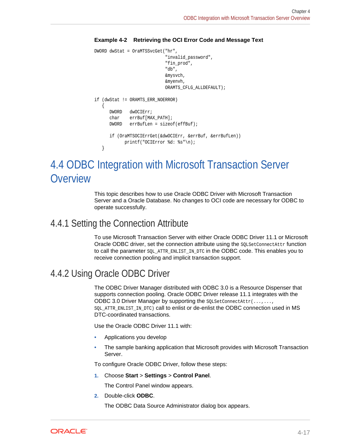### <span id="page-46-0"></span>**Example 4-2 Retrieving the OCI Error Code and Message Text**

```
DWORD dwStat = OraMTSSvcGet("hr",
                              "invalid_password",
                              "fin_prod",
                              "db",
                              &mysvch,
                              &myenvh, 
                              ORAMTS_CFLG_ALLDEFAULT);
if (dwStat != ORAMTS_ERR_NOERROR)
    {
       DWORD dwOCIErr;
      char errBuf[MAX_PATH];
       DWORD errBufLen = sizeof(effBuf);
       if (OraMTSOCIErrGet(&dwOCIErr, &errBuf, &errBufLen))
             printf("OCIError %d: %s"\n);
    }
```
# 4.4 ODBC Integration with Microsoft Transaction Server **Overview**

This topic describes how to use Oracle ODBC Driver with Microsoft Transaction Server and a Oracle Database. No changes to OCI code are necessary for ODBC to operate successfully.

### 4.4.1 Setting the Connection Attribute

To use Microsoft Transaction Server with either Oracle ODBC Driver 11.1 or Microsoft Oracle ODBC driver, set the connection attribute using the solset ConnectAttr function to call the parameter  $SQL_ATTR\_RNLIST\_IN\_DTC$  in the ODBC code. This enables you to receive connection pooling and implicit transaction support.

### 4.4.2 Using Oracle ODBC Driver

The ODBC Driver Manager distributed with ODBC 3.0 is a Resource Dispenser that supports connection pooling. Oracle ODBC Driver release 11.1 integrates with the ODBC 3.0 Driver Manager by supporting the solset ConnectAttr(...,..., SQL\_ATTR\_ENLIST\_IN\_DTC) call to enlist or de-enlist the ODBC connection used in MS DTC-coordinated transactions.

Use the Oracle ODBC Driver 11.1 with:

- Applications you develop
- The sample banking application that Microsoft provides with Microsoft Transaction Server.

To configure Oracle ODBC Driver, follow these steps:

**1.** Choose **Start** > **Settings** > **Control Panel**.

The Control Panel window appears.

**2.** Double-click **ODBC**.

The ODBC Data Source Administrator dialog box appears.

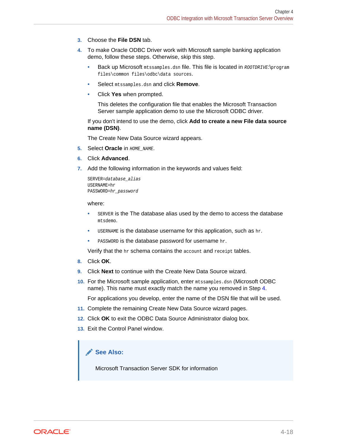- <span id="page-47-0"></span>**3.** Choose the **File DSN** tab.
- **4.** To make Oracle ODBC Driver work with Microsoft sample banking application demo, follow these steps. Otherwise, skip this step.
	- Back up Microsoft mtssamples.dsn file. This file is located in ROOTDRIVE:\program files\common files\odbc\data sources.
	- Select mtssamples.dsn and click **Remove**.
	- Click **Yes** when prompted.

This deletes the configuration file that enables the Microsoft Transaction Server sample application demo to use the Microsoft ODBC driver.

If you don't intend to use the demo, click **Add to create a new File data source name (DSN)**.

The Create New Data Source wizard appears.

- **5.** Select **Oracle** in HOME NAME.
- **6.** Click **Advanced**.
- **7.** Add the following information in the keywords and values field:

```
SERVER=database_alias
USERNAME=hr 
PASSWORD=hr_password
```
#### where:

- **SERVER IS the The database alias used by the demo to access the database** mtsdemo.
- USERNAME is the database username for this application, such as hr.
- PASSWORD is the database password for username hr.

Verify that the hr schema contains the account and receipt tables.

- **8.** Click **OK**.
- **9.** Click **Next** to continue with the Create New Data Source wizard.
- **10.** For the Microsoft sample application, enter mtssamples.dsn (Microsoft ODBC) name). This name must exactly match the name you removed in Step 4.

For applications you develop, enter the name of the DSN file that will be used.

- **11.** Complete the remaining Create New Data Source wizard pages.
- **12.** Click **OK** to exit the ODBC Data Source Administrator dialog box.
- **13.** Exit the Control Panel window.

### **See Also:**

Microsoft Transaction Server SDK for information

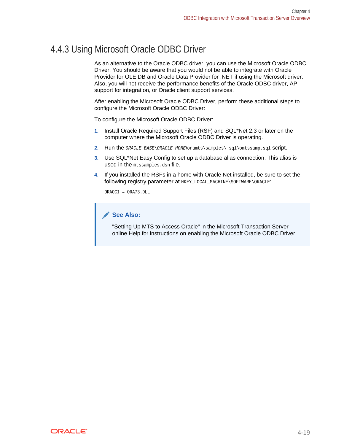## <span id="page-48-0"></span>4.4.3 Using Microsoft Oracle ODBC Driver

As an alternative to the Oracle ODBC driver, you can use the Microsoft Oracle ODBC Driver. You should be aware that you would not be able to integrate with Oracle Provider for OLE DB and Oracle Data Provider for .NET if using the Microsoft driver. Also, you will not receive the performance benefits of the Oracle ODBC driver, API support for integration, or Oracle client support services.

After enabling the Microsoft Oracle ODBC Driver, perform these additional steps to configure the Microsoft Oracle ODBC Driver:

To configure the Microsoft Oracle ODBC Driver:

- **1.** Install Oracle Required Support Files (RSF) and SQL\*Net 2.3 or later on the computer where the Microsoft Oracle ODBC Driver is operating.
- 2. Run the *ORACLE\_BASE\ORACLE\_HOME\*oramts\samples\ sql\omtssamp.sql Script.
- **3.** Use SQL\*Net Easy Config to set up a database alias connection. This alias is used in the mtssamples.dsn file.
- **4.** If you installed the RSFs in a home with Oracle Net installed, be sure to set the following registry parameter at HKEY\_LOCAL\_MACHINE\SOFTWARE\ORACLE:

ORAOCI = ORA73.DLL

### **See Also:**

"Setting Up MTS to Access Oracle" in the Microsoft Transaction Server online Help for instructions on enabling the Microsoft Oracle ODBC Driver

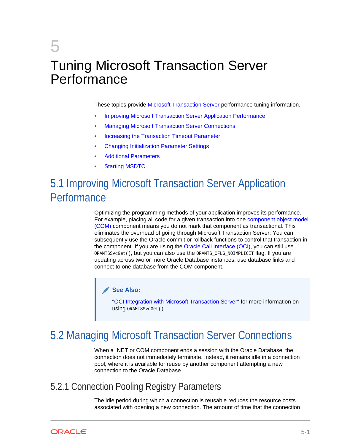# <span id="page-49-0"></span>5 Tuning Microsoft Transaction Server Performance

These topics provide [Microsoft Transaction Server](#page-60-0) performance tuning information.

- Improving Microsoft Transaction Server Application Performance
- **Managing Microsoft Transaction Server Connections**
- [Increasing the Transaction Timeout Parameter](#page-51-0)
- [Changing Initialization Parameter Settings](#page-51-0)
- [Additional Parameters](#page-52-0)
- **[Starting MSDTC](#page-52-0)**

# 5.1 Improving Microsoft Transaction Server Application **Performance**

Optimizing the programming methods of your application improves its performance. For example, placing all code for a given transaction into one [component object model](#page-59-0) [\(COM\)](#page-59-0) component means you do not mark that component as transactional. This eliminates the overhead of going through Microsoft Transaction Server. You can subsequently use the Oracle commit or rollback functions to control that transaction in the component. If you are using the [Oracle Call Interface \(OCI\),](#page-60-0) you can still use ORAMTSSvcGet(), but you can also use the ORAMTS\_CFLG\_NOIMPLICIT flag. If you are updating across two or more Oracle Database instances, use database links and connect to one database from the COM component.

### **See Also:**

["OCI Integration with Microsoft Transaction Server](#page-35-0)" for more information on using ORAMTSSvcGet()

# 5.2 Managing Microsoft Transaction Server Connections

When a .NET or COM component ends a session with the Oracle Database, the connection does not immediately terminate. Instead, it remains idle in a connection pool, where it is available for reuse by another component attempting a new connection to the Oracle Database.

### 5.2.1 Connection Pooling Registry Parameters

The idle period during which a connection is reusable reduces the resource costs associated with opening a new connection. The amount of time that the connection

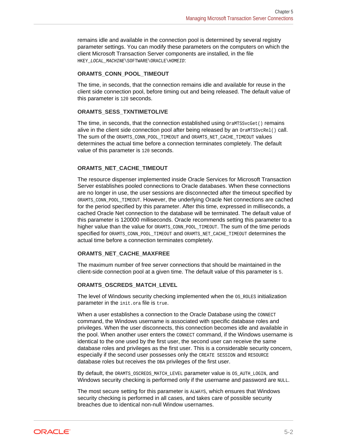remains idle and available in the connection pool is determined by several registry parameter settings. You can modify these parameters on the computers on which the client Microsoft Transaction Server components are installed, in the file HKEY\_LOCAL\_MACHINE\SOFTWARE\ORACLE\HOMEID:

### **ORAMTS\_CONN\_POOL\_TIMEOUT**

The time, in seconds, that the connection remains idle and available for reuse in the client side connection pool, before timing out and being released. The default value of this parameter is 120 seconds.

### **ORAMTS\_SESS\_TXNTIMETOLIVE**

The time, in seconds, that the connection established using  $O_{\text{I}}$  am TSSvcGet() remains alive in the client side connection pool after being released by an  $or\text{amTSSvcReLU}$  call. The sum of the ORAMTS\_CONN\_POOL\_TIMEOUT and ORAMTS\_NET\_CACHE\_TIMEOUT values determines the actual time before a connection terminates completely. The default value of this parameter is 120 seconds.

### **ORAMTS\_NET\_CACHE\_TIMEOUT**

The resource dispenser implemented inside Oracle Services for Microsoft Transaction Server establishes pooled connections to Oracle databases. When these connections are no longer in use, the user sessions are disconnected after the timeout specified by ORAMTS\_CONN\_POOL\_TIMEOUT. However, the underlying Oracle Net connections are cached for the period specified by this parameter. After this time, expressed in milliseconds, a cached Oracle Net connection to the database will be terminated. The default value of this parameter is 120000 milliseconds. Oracle recommends setting this parameter to a higher value than the value for ORAMTS CONN POOL TIMEOUT. The sum of the time periods specified for ORAMTS\_CONN\_POOL\_TIMEOUT and ORAMTS\_NET\_CACHE\_TIMEOUT determines the actual time before a connection terminates completely.

### **ORAMTS\_NET\_CACHE\_MAXFREE**

The maximum number of free server connections that should be maintained in the client-side connection pool at a given time. The default value of this parameter is 5.

### **ORAMTS\_OSCREDS\_MATCH\_LEVEL**

The level of Windows security checking implemented when the  $OS$ <sub>ROLES</sub> initialization parameter in the init.ora file is true.

When a user establishes a connection to the Oracle Database using the CONNECT command, the Windows username is associated with specific database roles and privileges. When the user disconnects, this connection becomes idle and available in the pool. When another user enters the CONNECT command, if the Windows username is identical to the one used by the first user, the second user can receive the same database roles and privileges as the first user. This is a considerable security concern, especially if the second user possesses only the CREATE SESSION and RESOURCE database roles but receives the DBA privileges of the first user.

By default, the ORAMTS\_OSCREDS\_MATCH\_LEVEL parameter value is OS\_AUTH\_LOGIN, and Windows security checking is performed only if the username and password are NULL.

The most secure setting for this parameter is ALWAYS, which ensures that Windows security checking is performed in all cases, and takes care of possible security breaches due to identical non-null Window usernames.

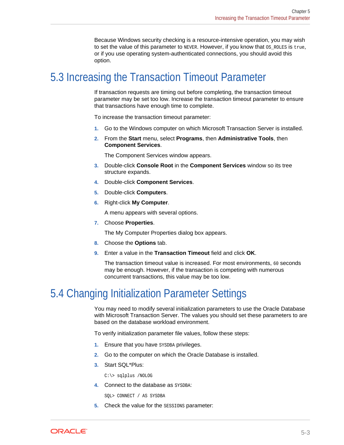Because Windows security checking is a resource-intensive operation, you may wish to set the value of this parameter to NEVER. However, if you know that  $\cos$  ROLES is true, or if you use operating system-authenticated connections, you should avoid this option.

# <span id="page-51-0"></span>5.3 Increasing the Transaction Timeout Parameter

If transaction requests are timing out before completing, the transaction timeout parameter may be set too low. Increase the transaction timeout parameter to ensure that transactions have enough time to complete.

To increase the transaction timeout parameter:

- **1.** Go to the Windows computer on which Microsoft Transaction Server is installed.
- **2.** From the **Start** menu, select **Programs**, then **Administrative Tools**, then **Component Services**.

The Component Services window appears.

- **3.** Double-click **Console Root** in the **Component Services** window so its tree structure expands.
- **4.** Double-click **Component Services**.
- **5.** Double-click **Computers**.
- **6.** Right-click **My Computer**.

A menu appears with several options.

**7.** Choose **Properties**.

The My Computer Properties dialog box appears.

- **8.** Choose the **Options** tab.
- **9.** Enter a value in the **Transaction Timeout** field and click **OK**.

The transaction timeout value is increased. For most environments, 60 seconds may be enough. However, if the transaction is competing with numerous concurrent transactions, this value may be too low.

# 5.4 Changing Initialization Parameter Settings

You may need to modify several initialization parameters to use the Oracle Database with Microsoft Transaction Server. The values you should set these parameters to are based on the database workload environment.

To verify initialization parameter file values, follow these steps:

- **1.** Ensure that you have SYSDBA privileges.
- **2.** Go to the computer on which the Oracle Database is installed.
- **3.** Start SQL\*Plus:

C:\> sqlplus /NOLOG

**4.** Connect to the database as SYSDBA:

SQL> CONNECT / AS SYSDBA

**5.** Check the value for the SESSIONS parameter:

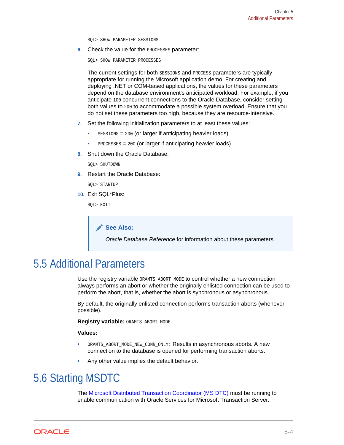SQL> SHOW PARAMETER SESSIONS

<span id="page-52-0"></span>**6.** Check the value for the PROCESSES parameter:

SQL> SHOW PARAMETER PROCESSES

The current settings for both SESSIONS and PROCESS parameters are typically appropriate for running the Microsoft application demo. For creating and deploying .NET or COM-based applications, the values for these parameters depend on the database environment's anticipated workload. For example, if you anticipate 100 concurrent connections to the Oracle Database, consider setting both values to 200 to accommodate a possible system overload. Ensure that you do not set these parameters too high, because they are resource-intensive.

- **7.** Set the following initialization parameters to at least these values:
	- $s_{\text{ESSIONS}}$  = 200 (or larger if anticipating heavier loads)
	- PROCESSES = 200 (or larger if anticipating heavier loads)
- **8.** Shut down the Oracle Database:

SQL> SHUTDOWN

**9.** Restart the Oracle Database:

SQL> STARTUP

**10.** Exit SQL\*Plus:

SQL> EXIT

**See Also:**

*Oracle Database Reference* for information about these parameters.

## 5.5 Additional Parameters

Use the registry variable ORAMTS\_ABORT\_MODE to control whether a new connection always performs an abort or whether the originally enlisted connection can be used to perform the abort, that is, whether the abort is synchronous or asynchronous.

By default, the originally enlisted connection performs transaction aborts (whenever possible).

**Registry variable:** ORAMTS\_ABORT\_MODE

**Values:**

- ORAMTS\_ABORT\_MODE\_NEW\_CONN\_ONLY: Results in asynchronous aborts. A new connection to the database is opened for performing transaction aborts.
- Any other value implies the default behavior.

# 5.6 Starting MSDTC

The [Microsoft Distributed Transaction Coordinator \(MS DTC\)](#page-59-0) must be running to enable communication with Oracle Services for Microsoft Transaction Server.

ORACLE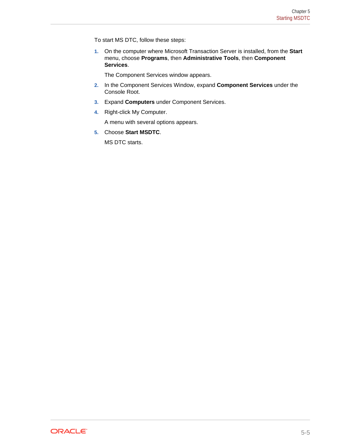To start MS DTC, follow these steps:

**1.** On the computer where Microsoft Transaction Server is installed, from the **Start** menu, choose **Programs**, then **Administrative Tools**, then **Component Services**.

The Component Services window appears.

- **2.** In the Component Services Window, expand **Component Services** under the Console Root.
- **3.** Expand **Computers** under Component Services.
- **4.** Right-click My Computer.

A menu with several options appears.

**5.** Choose **Start MSDTC**.

MS DTC starts.

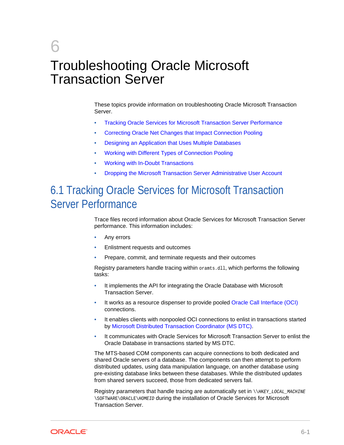# <span id="page-54-0"></span>6 Troubleshooting Oracle Microsoft Transaction Server

These topics provide information on troubleshooting Oracle Microsoft Transaction Server.

- Tracking Oracle Services for Microsoft Transaction Server Performance
- [Correcting Oracle Net Changes that Impact Connection Pooling](#page-55-0)
- [Designing an Application that Uses Multiple Databases](#page-56-0)
- [Working with Different Types of Connection Pooling](#page-57-0)
- [Working with In-Doubt Transactions](#page-57-0)
- [Dropping the Microsoft Transaction Server Administrative User Account](#page-58-0)

# 6.1 Tracking Oracle Services for Microsoft Transaction Server Performance

Trace files record information about Oracle Services for Microsoft Transaction Server performance. This information includes:

- Any errors
- Enlistment requests and outcomes
- Prepare, commit, and terminate requests and their outcomes

Registry parameters handle tracing within oramts.dll, which performs the following tasks:

- It implements the API for integrating the Oracle Database with Microsoft Transaction Server.
- It works as a resource dispenser to provide pooled [Oracle Call Interface \(OCI\)](#page-60-0) connections.
- It enables clients with nonpooled OCI connections to enlist in transactions started by [Microsoft Distributed Transaction Coordinator \(MS DTC\)](#page-59-0).
- It communicates with Oracle Services for Microsoft Transaction Server to enlist the Oracle Database in transactions started by MS DTC.

The MTS-based COM components can acquire connections to both dedicated and shared Oracle servers of a database. The components can then attempt to perform distributed updates, using data manipulation language, on another database using pre-existing database links between these databases. While the distributed updates from shared servers succeed, those from dedicated servers fail.

Registry parameters that handle tracing are automatically set in  $\N$ HKEY\_LOCAL\_MACHINE \SOFTWARE\ORACLE\HOMEID during the installation of Oracle Services for Microsoft Transaction Server.

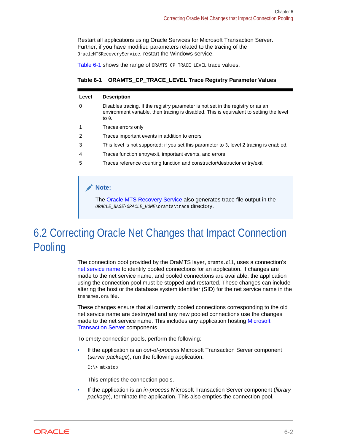<span id="page-55-0"></span>Restart all applications using Oracle Services for Microsoft Transaction Server. Further, if you have modified parameters related to the tracing of the OracleMTSRecoveryService, restart the Windows service.

Table 6-1 shows the range of ORAMTS\_CP\_TRACE\_LEVEL trace values.

**Table 6-1 ORAMTS\_CP\_TRACE\_LEVEL Trace Registry Parameter Values**

| Level        | <b>Description</b>                                                                                                                                                                     |
|--------------|----------------------------------------------------------------------------------------------------------------------------------------------------------------------------------------|
| 0            | Disables tracing. If the registry parameter is not set in the registry or as an<br>environment variable, then tracing is disabled. This is equivalent to setting the level<br>to $0$ . |
| $\mathbf{1}$ | Traces errors only                                                                                                                                                                     |
| 2            | Traces important events in addition to errors                                                                                                                                          |
| 3            | This level is not supported; if you set this parameter to 3, level 2 tracing is enabled.                                                                                               |
| 4            | Traces function entry/exit, important events, and errors                                                                                                                               |
| 5            | Traces reference counting function and constructor/destructor entry/exit                                                                                                               |
|              |                                                                                                                                                                                        |

### **Note:**

The [Oracle MTS Recovery Service](#page-60-0) also generates trace file output in the ORACLE\_BASE\ORACLE\_HOME\oramts\trace directory.

# 6.2 Correcting Oracle Net Changes that Impact Connection Pooling

The connection pool provided by the OraMTS layer, oramts.dll, uses a connection's [net service name](#page-60-0) to identify pooled connections for an application. If changes are made to the net service name, and pooled connections are available, the application using the connection pool must be stopped and restarted. These changes can include altering the host or the database system identifier (SID) for the net service name in the tnsnames.ora file.

These changes ensure that all currently pooled connections corresponding to the old net service name are destroyed and any new pooled connections use the changes made to the net service name. This includes any application hosting [Microsoft](#page-60-0) [Transaction Server](#page-60-0) components.

To empty connection pools, perform the following:

• If the application is an *out-of-process* Microsoft Transaction Server component (*server package*), run the following application:

C:\> mtxstop

This empties the connection pools.

• If the application is an *in-process* Microsoft Transaction Server component (*library package*), terminate the application. This also empties the connection pool.

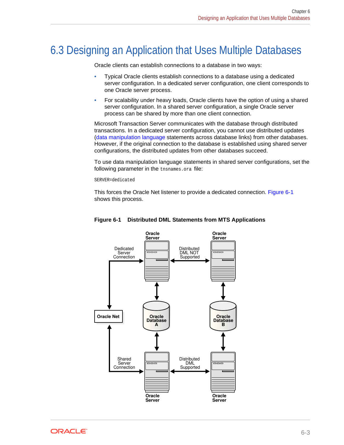# <span id="page-56-0"></span>6.3 Designing an Application that Uses Multiple Databases

Oracle clients can establish connections to a database in two ways:

- Typical Oracle clients establish connections to a database using a dedicated server configuration. In a dedicated server configuration, one client corresponds to one Oracle server process.
- For scalability under heavy loads, Oracle clients have the option of using a shared server configuration. In a shared server configuration, a single Oracle server process can be shared by more than one client connection.

Microsoft Transaction Server communicates with the database through distributed transactions. In a dedicated server configuration, you cannot use distributed updates [\(data manipulation language](#page-59-0) statements across database links) from other databases. However, if the original connection to the database is established using shared server configurations, the distributed updates from other databases succeed.

To use data manipulation language statements in shared server configurations, set the following parameter in the the same ora file:

SERVER=dedicated

This forces the Oracle Net listener to provide a dedicated connection. Figure 6-1 shows this process.



### **Figure 6-1 Distributed DML Statements from MTS Applications**

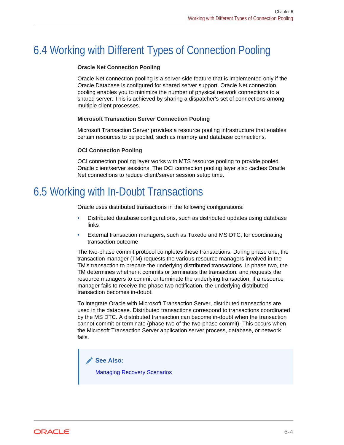# <span id="page-57-0"></span>6.4 Working with Different Types of Connection Pooling

### **Oracle Net Connection Pooling**

Oracle Net connection pooling is a server-side feature that is implemented only if the Oracle Database is configured for shared server support. Oracle Net connection pooling enables you to minimize the number of physical network connections to a shared server. This is achieved by sharing a dispatcher's set of connections among multiple client processes.

### **Microsoft Transaction Server Connection Pooling**

Microsoft Transaction Server provides a resource pooling infrastructure that enables certain resources to be pooled, such as memory and database connections.

### **OCI Connection Pooling**

OCI connection pooling layer works with MTS resource pooling to provide pooled Oracle client/server sessions. The OCI connection pooling layer also caches Oracle Net connections to reduce client/server session setup time.

## 6.5 Working with In-Doubt Transactions

Oracle uses distributed transactions in the following configurations:

- Distributed database configurations, such as distributed updates using database links
- External transaction managers, such as Tuxedo and MS DTC, for coordinating transaction outcome

The two-phase commit protocol completes these transactions. During phase one, the transaction manager (TM) requests the various resource managers involved in the TM's transaction to prepare the underlying distributed transactions. In phase two, the TM determines whether it commits or terminates the transaction, and requests the resource managers to commit or terminate the underlying transaction. If a resource manager fails to receive the phase two notification, the underlying distributed transaction becomes in-doubt.

To integrate Oracle with Microsoft Transaction Server, distributed transactions are used in the database. Distributed transactions correspond to transactions coordinated by the MS DTC. A distributed transaction can become in-doubt when the transaction cannot commit or terminate (phase two of the two-phase commit). This occurs when the Microsoft Transaction Server application server process, database, or network fails.

**See Also:** [Managing Recovery Scenarios](#page-23-0)

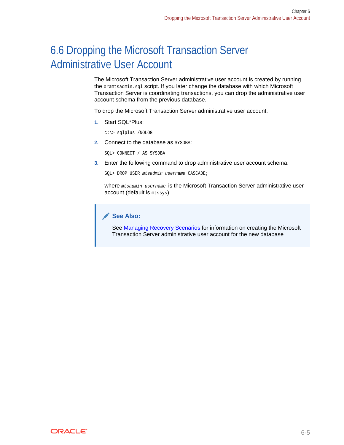# <span id="page-58-0"></span>6.6 Dropping the Microsoft Transaction Server Administrative User Account

The Microsoft Transaction Server administrative user account is created by running the oramtsadmin.sql script. If you later change the database with which Microsoft Transaction Server is coordinating transactions, you can drop the administrative user account schema from the previous database.

To drop the Microsoft Transaction Server administrative user account:

**1.** Start SQL\*Plus:

c:\> sqlplus /NOLOG

**2.** Connect to the database as SYSDBA:

SQL> CONNECT / AS SYSDBA

**3.** Enter the following command to drop administrative user account schema:

SQL> DROP USER mtsadmin\_username CASCADE;

where mtsadmin\_username is the Microsoft Transaction Server administrative user account (default is mtssys).

### **See Also:**

See [Managing Recovery Scenarios](#page-23-0) for information on creating the Microsoft Transaction Server administrative user account for the new database

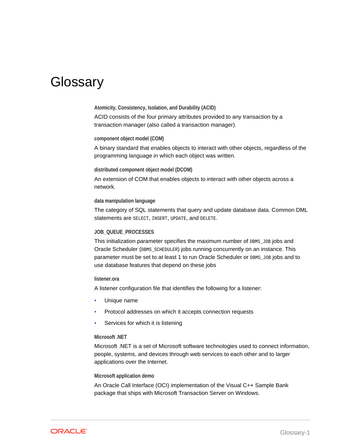# <span id="page-59-0"></span>**Glossary**

#### **Atomicity, Consistency, Isolation, and Durability (ACID)**

ACID consists of the four primary attributes provided to any transaction by a transaction manager (also called a transaction manager).

#### **component object model (COM)**

A binary standard that enables objects to interact with other objects, regardless of the programming language in which each object was written.

### **distributed component object model (DCOM)**

An extension of COM that enables objects to interact with other objects across a network.

### **data manipulation language**

The category of SQL statements that query and update database data. Common DML statements are SELECT, INSERT, UPDATE, and DELETE.

### **JOB\_QUEUE\_PROCESSES**

This initialization parameter specifies the maximum number of DBMS\_JOB jobs and Oracle Scheduler (DBMS\_SCHEDULER) jobs running concurrently on an instance. This parameter must be set to at least 1 to run Oracle Scheduler or DBMS\_JOB jobs and to use database features that depend on these jobs

### **listener.ora**

A listener configuration file that identifies the following for a listener:

- Unique name
- Protocol addresses on which it accepts connection requests
- Services for which it is listening

### **Microsoft .NET**

Microsoft .NET is a set of Microsoft software technologies used to connect information, people, systems, and devices through web services to each other and to larger applications over the Internet.

#### **Microsoft application demo**

An Oracle Call Interface (OCI) implementation of the Visual C++ Sample Bank package that ships with Microsoft Transaction Server on Windows.

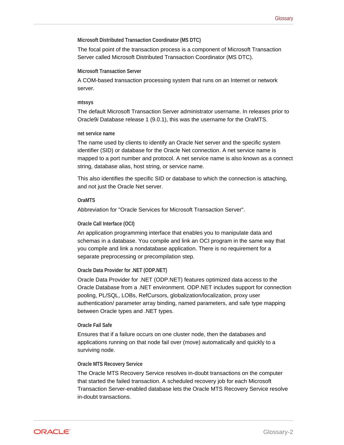### <span id="page-60-0"></span>**Microsoft Distributed Transaction Coordinator (MS DTC)**

The focal point of the transaction process is a component of Microsoft Transaction Server called Microsoft Distributed Transaction Coordinator (MS DTC).

### **Microsoft Transaction Server**

A COM-based transaction processing system that runs on an Internet or network server.

### **mtssys**

The default Microsoft Transaction Server administrator username. In releases prior to Oracle9*i* Database release 1 (9.0.1), this was the username for the OraMTS.

### **net service name**

The name used by clients to identify an Oracle Net server and the specific system identifier (SID) or database for the Oracle Net connection. A net service name is mapped to a port number and protocol. A net service name is also known as a connect string, database alias, host string, or service name.

This also identifies the specific SID or database to which the connection is attaching, and not just the Oracle Net server.

### **OraMTS**

Abbreviation for "Oracle Services for Microsoft Transaction Server".

### **Oracle Call Interface (OCI)**

An application programming interface that enables you to manipulate data and schemas in a database. You compile and link an OCI program in the same way that you compile and link a nondatabase application. There is no requirement for a separate preprocessing or precompilation step.

### **Oracle Data Provider for .NET (ODP.NET)**

Oracle Data Provider for .NET (ODP.NET) features optimized data access to the Oracle Database from a .NET environment. ODP.NET includes support for connection pooling, PL/SQL, LOBs, RefCursors, globalization/localization, proxy user authentication/ parameter array binding, named parameters, and safe type mapping between Oracle types and .NET types.

### **Oracle Fail Safe**

Ensures that if a failure occurs on one cluster node, then the databases and applications running on that node fail over (move) automatically and quickly to a surviving node.

### **Oracle MTS Recovery Service**

The Oracle MTS Recovery Service resolves in-doubt transactions on the computer that started the failed transaction. A scheduled recovery job for each Microsoft Transaction Server-enabled database lets the Oracle MTS Recovery Service resolve in-doubt transactions.

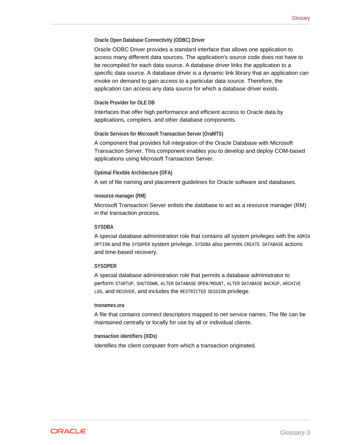### <span id="page-61-0"></span>**Oracle Open Database Connectivity (ODBC) Driver**

Oracle ODBC Driver provides a standard interface that allows one application to access many different data sources. The application's source code does not have to be recompiled for each data source. A database driver links the application to a specific data source. A database driver is a dynamic link library that an application can invoke on demand to gain access to a particular data source. Therefore, the application can access any data source for which a database driver exists.

### **Oracle Provider for OLE DB**

Interfaces that offer high performance and efficient access to Oracle data by applications, compilers, and other database components.

#### **Oracle Services for Microsoft Transaction Server (OraMTS)**

A component that provides full integration of the Oracle Database with Microsoft Transaction Server. This component enables you to develop and deploy COM-based applications using Microsoft Transaction Server.

#### **Optimal Flexible Architecture (OFA)**

A set of file naming and placement guidelines for Oracle software and databases.

#### **resource manager (RM)**

Microsoft Transaction Server enlists the database to act as a resource manager (RM) in the transaction process.

#### **SYSDBA**

A special database administration role that contains all system privileges with the ADMIN OPTION and the SYSOPER system privilege. SYSDBA also permits CREATE DATABASE actions and time-based recovery.

### **SYSOPER**

A special database administration role that permits a database administrator to perform STARTUP, SHUTDOWN, ALTER DATABASE OPEN/MOUNT, ALTER DATABASE BACKUP, ARCHIVE LOG, and RECOVER, and includes the RESTRICTED SESSION privilege.

#### **tnsnames.ora**

A file that contains connect descriptors mapped to net service names. The file can be maintained centrally or locally for use by all or individual clients.

#### **transaction identifiers (XIDs)**

Identifies the client computer from which a transaction originated.

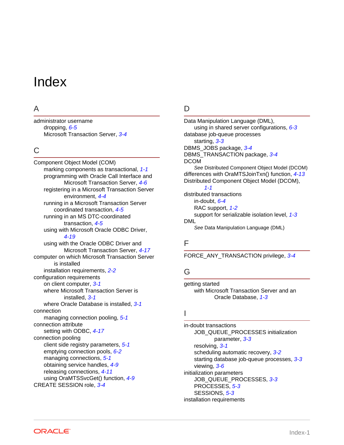# <span id="page-62-0"></span>Index

### A

administrator username dropping, *[6-5](#page-58-0)* Microsoft Transaction Server, *[3-4](#page-26-0)*

### C

Component Object Model (COM) marking components as transactional, *[1-1](#page-11-0)* programming with Oracle Call Interface and Microsoft Transaction Server, *[4-6](#page-35-0)* registering in a Microsoft Transaction Server environment, *[4-4](#page-33-0)* running in a Microsoft Transaction Server coordinated transaction, *[4-5](#page-34-0)* running in an MS DTC-coordinated transaction, *[4-5](#page-34-0)* using with Microsoft Oracle ODBC Driver, *[4-19](#page-48-0)* using with the Oracle ODBC Driver and Microsoft Transaction Server, *[4-17](#page-46-0)* computer on which Microsoft Transaction Server is installed installation requirements, *[2-2](#page-16-0)* configuration requirements on client computer, *[3-1](#page-23-0)* where Microsoft Transaction Server is installed, *[3-1](#page-23-0)* where Oracle Database is installed, *[3-1](#page-23-0)* connection managing connection pooling, *[5-1](#page-49-0)* connection attribute setting with ODBC, *[4-17](#page-46-0)* connection pooling client side registry parameters, *[5-1](#page-49-0)* emptying connection pools, *[6-2](#page-55-0)* managing connections, *[5-1](#page-49-0)* obtaining service handles, *[4-9](#page-38-0)* releasing connections, *[4-11](#page-40-0)* using OraMTSSvcGet() function, *[4-9](#page-38-0)* CREATE SESSION role, *[3-4](#page-26-0)*

### D

Data Manipulation Language (DML), using in shared server configurations, *[6-3](#page-56-0)* database job-queue processes starting, *[3-3](#page-25-0)* DBMS\_JOBS package, *[3-4](#page-26-0)* DBMS\_TRANSACTION package, *[3-4](#page-26-0)* DCOM *See* Distributed Component Object Model (DCOM) differences with OraMTSJoinTxn() function, *[4-13](#page-42-0)* Distributed Component Object Model (DCOM), *[1-1](#page-11-0)* distributed transactions in-doubt, *[6-4](#page-57-0)* RAC support, *[1-2](#page-12-0)* support for serializable isolation level, *[1-3](#page-13-0)* DML *See* Data Manipulation Language (DML)

### F

FORCE\_ANY\_TRANSACTION privilege, *[3-4](#page-26-0)*

### G

getting started with Microsoft Transaction Server and an Oracle Database, *[1-3](#page-13-0)*

### I

in-doubt transactions JOB\_QUEUE\_PROCESSES initialization parameter, *[3-3](#page-25-0)* resolving, *[3-1](#page-23-0)* scheduling automatic recovery, *[3-2](#page-24-0)* starting database job-queue processes, *[3-3](#page-25-0)* viewing, *[3-6](#page-28-0)* initialization parameters JOB\_QUEUE\_PROCESSES, *[3-3](#page-25-0)* PROCESSES, *[5-3](#page-51-0)* SESSIONS, *[5-3](#page-51-0)* installation requirements

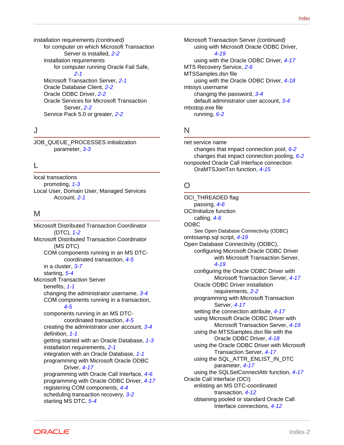installation requirements *(continued)* for computer on which Microsoft Transaction Server is installed, *[2-2](#page-16-0)* installation requirements for computer running Oracle Fail Safe, *[2-1](#page-15-0)* Microsoft Transaction Server, *[2-1](#page-15-0)* Oracle Database Client, *[2-2](#page-16-0)* Oracle ODBC Driver, *[2-2](#page-16-0)* Oracle Services for Microsoft Transaction Server, *[2-2](#page-16-0)* Service Pack 5.0 or greater, *[2-2](#page-16-0)*

### J

JOB\_QUEUE\_PROCESSES initialization parameter, *[3-3](#page-25-0)*

### L

local transactions promoting, *[1-3](#page-13-0)* Local User, Domain User, Managed Services Account, *[2-1](#page-15-0)*

### M

Microsoft Distributed Transaction Coordinator (DTC), *[1-2](#page-12-0)* Microsoft Distributed Transaction Coordinator (MS DTC) COM components running in an MS DTCcoordinated transaction, *[4-5](#page-34-0)* in a cluster, *[3-7](#page-29-0)* starting, *[5-4](#page-52-0)* Microsoft Transaction Server benefits, *[1-1](#page-11-0)* changing the administrator username, *[3-4](#page-26-0)* COM components running in a transaction, *[4-5](#page-34-0)* components running in an MS DTCcoordinated transaction, *[4-5](#page-34-0)* creating the administrator user account, *[3-4](#page-26-0)* definition, *[1-1](#page-11-0)* getting started with an Oracle Database, *[1-3](#page-13-0)* installation requirements, *[2-1](#page-15-0)* integration with an Oracle Database, *[1-1](#page-11-0)* programming with Microsoft Oracle ODBC Driver, *[4-17](#page-46-0)* programming with Oracle Call Interface, *[4-6](#page-35-0)* programming with Oracle ODBC Driver, *[4-17](#page-46-0)* registering COM components, *[4-4](#page-33-0)* scheduling transaction recovery, *[3-2](#page-24-0)* starting MS DTC, *[5-4](#page-52-0)*

Microsoft Transaction Server *(continued)* using with Microsoft Oracle ODBC Driver, *[4-19](#page-48-0)* using with the Oracle ODBC Driver, *[4-17](#page-46-0)* MTS Recovery Service, *[2-6](#page-20-0)* MTSSamples.dsn file using with the Oracle ODBC Driver, *[4-18](#page-47-0)* mtssys username changing the password, *[3-4](#page-26-0)* default administrator user account, *[3-4](#page-26-0)* mtxstop.exe file running, *[6-2](#page-55-0)*

### N

net service name changes that impact connection pool, *[6-2](#page-55-0)* changes that impact connection pooling, *[6-2](#page-55-0)* nonpooled Oracle Call Interface connection OraMTSJoinTxn function, *[4-15](#page-44-0)*

### O

OCI\_THREADED flag passing, *[4-6](#page-35-0)* OCIInitialize function calling, *[4-6](#page-35-0)* ODBC *See* Open Database Connectivity (ODBC) omtssamp.sql script, *[4-19](#page-48-0)* Open Database Connectivity (ODBC), configuring Microsoft Oracle ODBC Driver with Microsoft Transaction Server, *[4-19](#page-48-0)* configuring the Oracle ODBC Driver with Microsoft Transaction Server, *[4-17](#page-46-0)* Oracle ODBC Driver installation requirements, *[2-2](#page-16-0)* programming with Microsoft Transaction Server, *[4-17](#page-46-0)* setting the connection attribute, *[4-17](#page-46-0)* using Microsoft Oracle ODBC Driver with Microsoft Transaction Server, *[4-19](#page-48-0)* using the MTSSamples.dsn file with the Oracle ODBC Driver, *[4-18](#page-47-0)* using the Oracle ODBC Driver with Microsoft Transaction Server, *[4-17](#page-46-0)* using the SQL\_ATTR\_ENLIST\_IN\_DTC parameter, *[4-17](#page-46-0)* using the SQLSetConnectAttr function, *[4-17](#page-46-0)* Oracle Call Interface (OCI) enlisting an MS DTC-coordinated transaction, *[4-12](#page-41-0)* obtaining pooled or standard Oracle Call Interface connections, *[4-12](#page-41-0)*

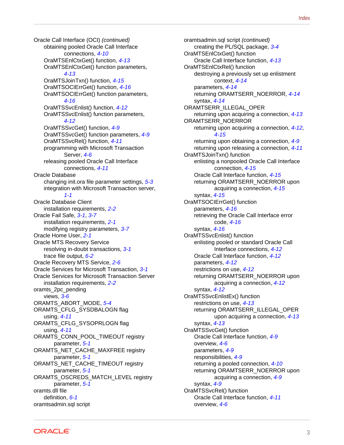Oracle Call Interface (OCI) *(continued)* obtaining pooled Oracle Call Interface connections, *[4-10](#page-39-0)* OraMTSEnlCtxGet() function, *[4-13](#page-42-0)* OraMTSEnlCtxGet() function parameters, *[4-13](#page-42-0)* OraMTSJoinTxn() function, *[4-15](#page-44-0)* OraMTSOCIErrGet() function, *[4-16](#page-45-0)* OraMTSOCIErrGet() function parameters, *[4-16](#page-45-0)* OraMTSSvcEnlist() function, *[4-12](#page-41-0)* OraMTSSvcEnlist() function parameters, *[4-12](#page-41-0)* OraMTSSvcGet() function, *[4-9](#page-38-0)* OraMTSSvcGet() function parameters, *[4-9](#page-38-0)* OraMTSSvcRel() function, *[4-11](#page-40-0)* programming with Microsoft Transaction Server, *[4-6](#page-35-0)* releasing pooled Oracle Call Interface connections, *[4-11](#page-40-0)* Oracle Database changing init.ora file parameter settings, *[5-3](#page-51-0)* integration with Microsoft Transaction server, *[1-1](#page-11-0)* Oracle Database Client installation requirements, *[2-2](#page-16-0)* Oracle Fail Safe, *[3-1](#page-23-0)*, *[3-7](#page-29-0)* installation requirements, *[2-1](#page-15-0)* modifying registry parameters, *[3-7](#page-29-0)* Oracle Home User, *[2-1](#page-15-0)* Oracle MTS Recovery Service resolving in-doubt transactions, *[3-1](#page-23-0)* trace file output, *[6-2](#page-55-0)* Oracle Recovery MTS Service, *[2-6](#page-20-0)* Oracle Services for Microsoft Transaction, *[3-1](#page-23-0)* Oracle Services for Microsoft Transaction Server installation requirements, *[2-2](#page-16-0)* oramts\_2pc\_pending views, *[3-6](#page-28-0)* ORAMTS\_ABORT\_MODE, *[5-4](#page-52-0)* ORAMTS CFLG SYSDBALOGN flag using, *[4-11](#page-40-0)* ORAMTS\_CFLG\_SYSOPRLOGN flag using, *[4-11](#page-40-0)* ORAMTS\_CONN\_POOL\_TIMEOUT registry parameter, *[5-1](#page-49-0)* ORAMTS\_NET\_CACHE\_MAXFREE registry parameter, *[5-1](#page-49-0)* ORAMTS\_NET\_CACHE\_TIMEOUT registry parameter, *[5-1](#page-49-0)* ORAMTS\_OSCREDS\_MATCH\_LEVEL registry parameter, *[5-1](#page-49-0)* oramts.dll file definition, *[6-1](#page-54-0)* oramtsadmin.sql script

oramtsadmin.sql script *(continued)* creating the PL/SQL package, *[3-4](#page-26-0)* OraMTSEnlCtxGet() function Oracle Call Interface function, *[4-13](#page-42-0)* OraMTSEnlCtxRel() function destroying a previously set up enlistment context, *[4-14](#page-43-0)* parameters, *[4-14](#page-43-0)* returning ORAMTSERR\_NOERROR, *[4-14](#page-43-0)* syntax, *[4-14](#page-43-0)* ORAMTSERR\_ILLEGAL\_OPER returning upon acquiring a connection, *[4-13](#page-42-0)* ORAMTSERR\_NOERROR returning upon acquiring a connection, *[4-12](#page-41-0)*, *[4-15](#page-44-0)* returning upon obtaining a connection, *[4-9](#page-38-0)* returning upon releasing a connection, *[4-11](#page-40-0)* OraMTSJoinTxn() function enlisting a nonpooled Oracle Call Interface connection, *[4-15](#page-44-0)* Oracle Call Interface function, *[4-15](#page-44-0)* returning ORAMTSERR\_NOERROR upon acquiring a connection, *[4-15](#page-44-0)* syntax, *[4-15](#page-44-0)* OraMTSOCIErrGet() function parameters, *[4-16](#page-45-0)* retrieving the Oracle Call Interface error code, *[4-16](#page-45-0)* syntax, *[4-16](#page-45-0)* OraMTSSvcEnlist() function enlisting pooled or standard Oracle Call Interface connections, *[4-12](#page-41-0)* Oracle Call Interface function, *[4-12](#page-41-0)* parameters, *[4-12](#page-41-0)* restrictions on use, *[4-12](#page-41-0)* returning ORAMTSERR\_NOERROR upon acquiring a connection, *[4-12](#page-41-0)* syntax, *[4-12](#page-41-0)* OraMTSSvcEnlistEx() function restrictions on use, *[4-13](#page-42-0)* returning ORAMTSERR\_ILLEGAL\_OPER upon acquiring a connection, *[4-13](#page-42-0)* syntax, *[4-13](#page-42-0)* OraMTSSvcGet() function Oracle Call Interface function, *[4-9](#page-38-0)* overview, *[4-6](#page-35-0)* parameters, *[4-9](#page-38-0)* responsibilities, *[4-9](#page-38-0)* returning a pooled connection, *[4-10](#page-39-0)* returning ORAMTSERR\_NOERROR upon acquiring a connection, *[4-9](#page-38-0)* syntax, *[4-9](#page-38-0)* OraMTSSvcRel() function Oracle Call Interface function, *[4-11](#page-40-0)* overview, *[4-6](#page-35-0)*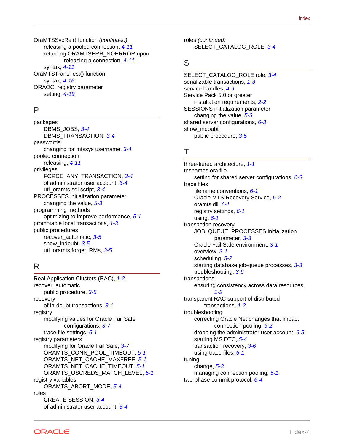OraMTSSvcRel() function *(continued)* releasing a pooled connection, *[4-11](#page-40-0)* returning ORAMTSERR\_NOERROR upon releasing a connection, *[4-11](#page-40-0)* syntax, *[4-11](#page-40-0)* OraMTSTransTest() function syntax, *[4-16](#page-45-0)* ORAOCI registry parameter setting, *[4-19](#page-48-0)*

### P

packages DBMS\_JOBS, *[3-4](#page-26-0)* DBMS\_TRANSACTION, *[3-4](#page-26-0)* passwords changing for mtssys username, *[3-4](#page-26-0)* pooled connection releasing, *[4-11](#page-40-0)* privileges FORCE\_ANY\_TRANSACTION, *[3-4](#page-26-0)* of administrator user account, *[3-4](#page-26-0)* utl\_oramts.sql script, *[3-4](#page-26-0)* PROCESSES initialization parameter changing the value, *[5-3](#page-51-0)* programming methods optimizing to improve performance, *[5-1](#page-49-0)* promotable local transactions, *[1-3](#page-13-0)* public procedures recover\_automatic, *[3-5](#page-27-0)* show\_indoubt, *[3-5](#page-27-0)* utl\_oramts.forget\_RMs, *[3-5](#page-27-0)*

### R

Real Application Clusters (RAC), *[1-2](#page-12-0)* recover automatic public procedure, *[3-5](#page-27-0)* recovery of in-doubt transactions, *[3-1](#page-23-0)* registry modifying values for Oracle Fail Safe configurations, *[3-7](#page-29-0)* trace file settings, *[6-1](#page-54-0)* registry parameters modifying for Oracle Fail Safe, *[3-7](#page-29-0)* ORAMTS\_CONN\_POOL\_TIMEOUT, *[5-1](#page-49-0)* ORAMTS\_NET\_CACHE\_MAXFREE, *[5-1](#page-49-0)* ORAMTS\_NET\_CACHE\_TIMEOUT, *[5-1](#page-49-0)* ORAMTS\_OSCREDS\_MATCH\_LEVEL, *[5-1](#page-49-0)* registry variables ORAMTS\_ABORT\_MODE, *[5-4](#page-52-0)* roles CREATE SESSION, *[3-4](#page-26-0)* of administrator user account, *[3-4](#page-26-0)*

roles *(continued)* SELECT\_CATALOG\_ROLE, *[3-4](#page-26-0)*

### S

SELECT\_CATALOG\_ROLE role, *[3-4](#page-26-0)* serializable transactions, *[1-3](#page-13-0)* service handles, *[4-9](#page-38-0)* Service Pack 5.0 or greater installation requirements, *[2-2](#page-16-0)* SESSIONS initialization parameter changing the value, *[5-3](#page-51-0)* shared server configurations, *[6-3](#page-56-0)* show indoubt public procedure, *[3-5](#page-27-0)*

### T

three-tiered architecture, *[1-1](#page-11-0)* tnsnames.ora file setting for shared server configurations, *[6-3](#page-56-0)* trace files filename conventions, *[6-1](#page-54-0)* Oracle MTS Recovery Service, *[6-2](#page-55-0)* oramts.dll, *[6-1](#page-54-0)* registry settings, *[6-1](#page-54-0)* using, *[6-1](#page-54-0)* transaction recovery JOB\_QUEUE\_PROCESSES initialization parameter, *[3-3](#page-25-0)* Oracle Fail Safe environment, *[3-1](#page-23-0)* overview, *[3-1](#page-23-0)* scheduling, *[3-2](#page-24-0)* starting database job-queue processes, *[3-3](#page-25-0)* troubleshooting, *[3-6](#page-28-0)* transactions ensuring consistency across data resources, *[1-2](#page-12-0)* transparent RAC support of distributed transactions, *[1-2](#page-12-0)* troubleshooting correcting Oracle Net changes that impact connection pooling, *[6-2](#page-55-0)* dropping the administrator user account, *[6-5](#page-58-0)* starting MS DTC, *[5-4](#page-52-0)* transaction recovery, *[3-6](#page-28-0)* using trace files, *[6-1](#page-54-0)* tuning change, *[5-3](#page-51-0)* managing connection pooling, *[5-1](#page-49-0)* two-phase commit protocol, *[6-4](#page-57-0)*